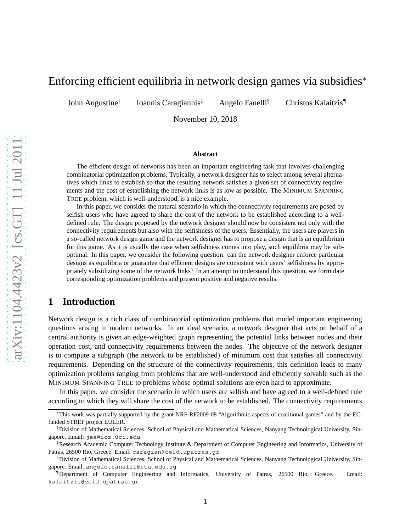# Enforcing efficient equilibria in network design games via subsidies<sup>∗</sup>

John Augustine†

Ioannis Caragiannis‡ Angelo Fanelli§ Christos Kalaitzis¶

November 10, 2018

#### **Abstract**

The efficient design of networks has been an important engineering task that involves challenging combinatorial optimization problems. Typically, a network designer has to select among several alternatives which links to establish so that the resulting network satisfies a given set of connectivity requirements and the cost of establishing the network links is as low as possible. The MINIMUM SPANNING TREE problem, which is well-understood, is a nice example.

In this paper, we consider the natural scenario in which the connectivity requirements are posed by selfish users who have agreed to share the cost of the network to be established according to a welldefined rule. The design proposed by the network designer should now be consistent not only with the connectivity requirements but also with the selfishness of the users. Essentially, the users are players in a so-called network design game and the network designer has to propose a design that is an equilibrium for this game. As it is usually the case when selfishness comes into play, such equilibria may be suboptimal. In this paper, we consider the following question: can the network designer enforce particular designs as equilibria or guarantee that efficient designs are consistent with users' selfishness by appropriately subsidizing some of the network links? In an attempt to understand this question, we formulate corresponding optimization problems and present positive and negative results.

### **1 Introduction**

Network design is a rich class of combinatorial optimization problems that model important engineering questions arising in modern networks. In an ideal scenario, a network designer that acts on behalf of a central authority is given an edge-weighted graph representing the potential links between nodes and their operation cost, and connectivity requirements between the nodes. The objective of the network designer is to compute a subgraph (the network to be established) of minimum cost that satisfies all connectivity requirements. Depending on the structure of the connectivity requirements, this definition leads to many optimization problems ranging from problems that are well-understood and efficiently solvable such as the MINIMUM SPANNING TREE to problems whose optimal solutions are even hard to approximate.

In this paper, we consider the scenario in which users are selfish and have agreed to a well-defined rule according to which they will share the cost of the network to be established. The connectivity requirements

<sup>∗</sup>This work was partially supported by the grant NRF-RF2009-08 "Algorithmic aspects of coalitional games" and by the ECfunded STREP project EULER.

<sup>†</sup>Division of Mathematical Sciences, School of Physical and Mathematical Sciences, Nanyang Technological University, Singapore. Email: jea@ics.uci.edu

<sup>‡</sup>Research Academic Computer Technology Institute & Department of Computer Engineering and Informatics, University of Patras, 26500 Rio, Greece. Email: caragian@ceid.upatras.gr

<sup>§</sup>Division of Mathematical Sciences, School of Physical and Mathematical Sciences, Nanyang Technological University, Singapore. Email: angelo.fanelli@ntu.edu.sg

<sup>¶</sup>Department of Computer Engineering and Informatics, University of Patras, 26500 Rio, Greece. Email: kalaitzis@ceid.upatras.gr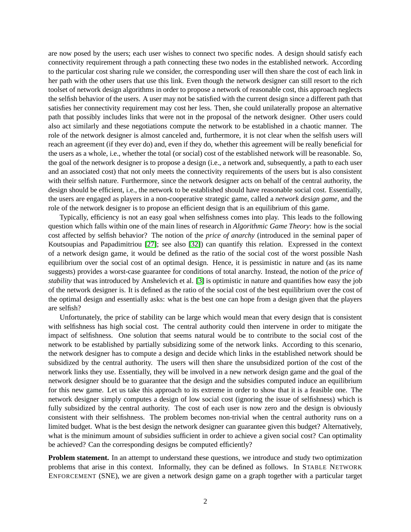are now posed by the users; each user wishes to connect two specific nodes. A design should satisfy each connectivity requirement through a path connecting these two nodes in the established network. According to the particular cost sharing rule we consider, the corresponding user will then share the cost of each link in her path with the other users that use this link. Even though the network designer can still resort to the rich toolset of network design algorithms in order to propose a network of reasonable cost, this approach neglects the selfish behavior of the users. A user may not be satisfied with the current design since a different path that satisfies her connectivity requirement may cost her less. Then, she could unilaterally propose an alternative path that possibly includes links that were not in the proposal of the network designer. Other users could also act similarly and these negotiations compute the network to be established in a chaotic manner. The role of the network designer is almost canceled and, furthermore, it is not clear when the selfish users will reach an agreement (if they ever do) and, even if they do, whether this agreement will be really beneficial for the users as a whole, i.e., whether the total (or social) cost of the established network will be reasonable. So, the goal of the network designer is to propose a design (i.e., a network and, subsequently, a path to each user and an associated cost) that not only meets the connectivity requirements of the users but is also consistent with their selfish nature. Furthermore, since the network designer acts on behalf of the central authority, the design should be efficient, i.e., the network to be established should have reasonable social cost. Essentially, the users are engaged as players in a non-cooperative strategic game, called a *network design game*, and the role of the network designer is to propose an efficient design that is an equilibrium of this game.

Typically, efficiency is not an easy goal when selfishness comes into play. This leads to the following question which falls within one of the main lines of research in *Algorithmic Game Theory*: how is the social cost affected by selfish behavior? The notion of the *price of anarchy* (introduced in the seminal paper of Koutsoupias and Papadimitriou [\[27\]](#page-29-0); see also [\[32\]](#page-29-1)) can quantify this relation. Expressed in the context of a network design game, it would be defined as the ratio of the social cost of the worst possible Nash equilibrium over the social cost of an optimal design. Hence, it is pessimistic in nature and (as its name suggests) provides a worst-case guarantee for conditions of total anarchy. Instead, the notion of the *price of stability* that was introduced by Anshelevich et al. [\[3\]](#page-28-0) is optimistic in nature and quantifies how easy the job of the network designer is. It is defined as the ratio of the social cost of the best equilibrium over the cost of the optimal design and essentially asks: what is the best one can hope from a design given that the players are selfish?

Unfortunately, the price of stability can be large which would mean that every design that is consistent with selfishness has high social cost. The central authority could then intervene in order to mitigate the impact of selfishness. One solution that seems natural would be to contribute to the social cost of the network to be established by partially subsidizing some of the network links. According to this scenario, the network designer has to compute a design and decide which links in the established network should be subsidized by the central authority. The users will then share the unsubsidized portion of the cost of the network links they use. Essentially, they will be involved in a new network design game and the goal of the network designer should be to guarantee that the design and the subsidies computed induce an equilibrium for this new game. Let us take this approach to its extreme in order to show that it is a feasible one. The network designer simply computes a design of low social cost (ignoring the issue of selfishness) which is fully subsidized by the central authority. The cost of each user is now zero and the design is obviously consistent with their selfishness. The problem becomes non-trivial when the central authority runs on a limited budget. What is the best design the network designer can guarantee given this budget? Alternatively, what is the minimum amount of subsidies sufficient in order to achieve a given social cost? Can optimality be achieved? Can the corresponding designs be computed efficiently?

**Problem statement.** In an attempt to understand these questions, we introduce and study two optimization problems that arise in this context. Informally, they can be defined as follows. In STABLE NETWORK ENFORCEMENT (SNE), we are given a network design game on a graph together with a particular target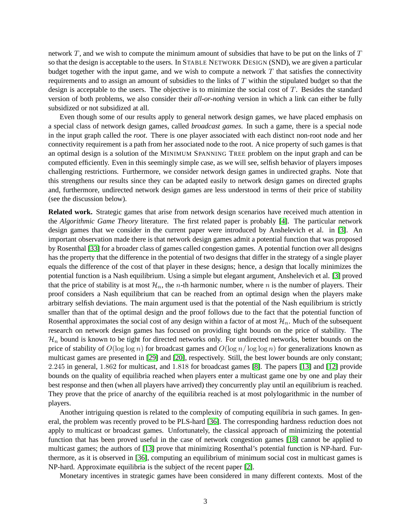network  $T$ , and we wish to compute the minimum amount of subsidies that have to be put on the links of  $T$ so that the design is acceptable to the users. In STABLE NETWORK DESIGN (SND), we are given a particular budget together with the input game, and we wish to compute a network  $T$  that satisfies the connectivity requirements and to assign an amount of subsidies to the links of  $T$  within the stipulated budget so that the design is acceptable to the users. The objective is to minimize the social cost of T. Besides the standard version of both problems, we also consider their *all-or-nothing* version in which a link can either be fully subsidized or not subsidized at all.

Even though some of our results apply to general network design games, we have placed emphasis on a special class of network design games, called *broadcast games*. In such a game, there is a special node in the input graph called the *root*. There is one player associated with each distinct non-root node and her connectivity requirement is a path from her associated node to the root. A nice property of such games is that an optimal design is a solution of the MINIMUM SPANNING TREE problem on the input graph and can be computed efficiently. Even in this seemingly simple case, as we will see, selfish behavior of players imposes challenging restrictions. Furthermore, we consider network design games in undirected graphs. Note that this strengthens our results since they can be adapted easily to network design games on directed graphs and, furthermore, undirected network design games are less understood in terms of their price of stability (see the discussion below).

**Related work.** Strategic games that arise from network design scenarios have received much attention in the *Algorithmic Game Theory* literature. The first related paper is probably [\[4\]](#page-28-1). The particular network design games that we consider in the current paper were introduced by Anshelevich et al. in [\[3\]](#page-28-0). An important observation made there is that network design games admit a potential function that was proposed by Rosenthal [\[33\]](#page-29-2) for a broader class of games called congestion games. A potential function over all designs has the property that the difference in the potential of two designs that differ in the strategy of a single player equals the difference of the cost of that player in these designs; hence, a design that locally minimizes the potential function is a Nash equilibrium. Using a simple but elegant argument, Anshelevich et al. [\[3\]](#page-28-0) proved that the price of stability is at most  $\mathcal{H}_n$ , the *n*-th harmonic number, where *n* is the number of players. Their proof considers a Nash equilibrium that can be reached from an optimal design when the players make arbitrary selfish deviations. The main argument used is that the potential of the Nash equilibrium is strictly smaller than that of the optimal design and the proof follows due to the fact that the potential function of Rosenthal approximates the social cost of any design within a factor of at most  $\mathcal{H}_n$ . Much of the subsequent research on network design games has focused on providing tight bounds on the price of stability. The  $\mathcal{H}_n$  bound is known to be tight for directed networks only. For undirected networks, better bounds on the price of stability of  $O(\log \log n)$  for broadcast games and  $O(\log n / \log \log n)$  for generalizations known as multicast games are presented in [\[29\]](#page-29-3) and [\[20\]](#page-29-4), respectively. Still, the best lower bounds are only constant; 2.245 in general, 1.862 for multicast, and 1.818 for broadcast games [\[8\]](#page-28-2). The papers [\[13\]](#page-28-3) and [\[12\]](#page-28-4) provide bounds on the quality of equilibria reached when players enter a multicast game one by one and play their best response and then (when all players have arrived) they concurrently play until an equilibrium is reached. They prove that the price of anarchy of the equilibria reached is at most polylogarithmic in the number of players.

Another intriguing question is related to the complexity of computing equilibria in such games. In general, the problem was recently proved to be PLS-hard [\[36\]](#page-29-5). The corresponding hardness reduction does not apply to multicast or broadcast games. Unfortunately, the classical approach of minimizing the potential function that has been proved useful in the case of network congestion games [\[18\]](#page-28-5) cannot be applied to multicast games; the authors of [\[13\]](#page-28-3) prove that minimizing Rosenthal's potential function is NP-hard. Furthermore, as it is observed in [\[36\]](#page-29-5), computing an equilibrium of minimum social cost in multicast games is NP-hard. Approximate equilibria is the subject of the recent paper [\[2\]](#page-28-6).

Monetary incentives in strategic games have been considered in many different contexts. Most of the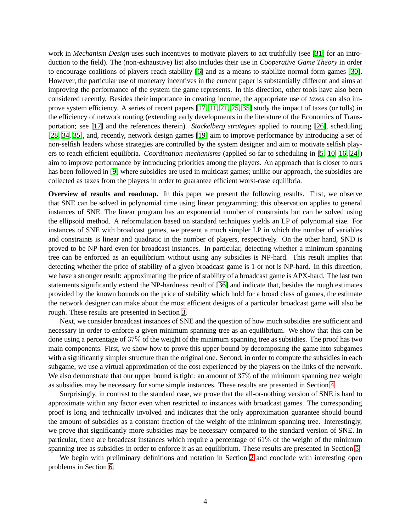work in *Mechanism Design* uses such incentives to motivate players to act truthfully (see [\[31\]](#page-29-6) for an introduction to the field). The (non-exhaustive) list also includes their use in *Cooperative Game Theory* in order to encourage coalitions of players reach stability [\[6\]](#page-28-7) and as a means to stabilize normal form games [\[30\]](#page-29-7). However, the particular use of monetary incentives in the current paper is substantially different and aims at improving the performance of the system the game represents. In this direction, other tools have also been considered recently. Besides their importance in creating income, the appropriate use of *taxes* can also improve system efficiency. A series of recent papers [\[17,](#page-28-8) [11,](#page-28-9) [21,](#page-29-8) [25,](#page-29-9) [35\]](#page-29-10) study the impact of taxes (or tolls) in the efficiency of network routing (extending early developments in the literature of the Economics of Transportation; see [\[17\]](#page-28-8) and the references therein). *Stackelberg strategies* applied to routing [\[26\]](#page-29-11), scheduling [\[28,](#page-29-12) [34,](#page-29-13) [35\]](#page-29-10), and, recently, network design games [\[19\]](#page-28-10) aim to improve performance by introducing a set of non-selfish leaders whose strategies are controlled by the system designer and aim to motivate selfish players to reach efficient equilibria. *Coordination mechanisms* (applied so far to scheduling in [\[5,](#page-28-11) [10,](#page-28-12) [16,](#page-28-13) [24\]](#page-29-14)) aim to improve performance by introducing priorities among the players. An approach that is closer to ours has been followed in [\[9\]](#page-28-14) where subsidies are used in multicast games; unlike our approach, the subsidies are collected as taxes from the players in order to guarantee efficient worst-case equilibria.

**Overview of results and roadmap.** In this paper we present the following results. First, we observe that SNE can be solved in polynomial time using linear programming; this observation applies to general instances of SNE. The linear program has an exponential number of constraints but can be solved using the ellipsoid method. A reformulation based on standard techniques yields an LP of polynomial size. For instances of SNE with broadcast games, we present a much simpler LP in which the number of variables and constraints is linear and quadratic in the number of players, respectively. On the other hand, SND is proved to be NP-hard even for broadcast instances. In particular, detecting whether a minimum spanning tree can be enforced as an equilibrium without using any subsidies is NP-hard. This result implies that detecting whether the price of stability of a given broadcast game is 1 or not is NP-hard. In this direction, we have a stronger result: approximating the price of stability of a broadcast game is APX-hard. The last two statements significantly extend the NP-hardness result of [\[36\]](#page-29-5) and indicate that, besides the rough estimates provided by the known bounds on the price of stability which hold for a broad class of games, the estimate the network designer can make about the most efficient designs of a particular broadcast game will also be rough. These results are presented in Section [3.](#page-5-0)

Next, we consider broadcast instances of SNE and the question of how much subsidies are sufficient and necessary in order to enforce a given minimum spanning tree as an equilibrium. We show that this can be done using a percentage of 37% of the weight of the minimum spanning tree as subsidies. The proof has two main components. First, we show how to prove this upper bound by decomposing the game into subgames with a significantly simpler structure than the original one. Second, in order to compute the subsidies in each subgame, we use a virtual approximation of the cost experienced by the players on the links of the network. We also demonstrate that our upper bound is tight: an amount of 37% of the minimum spanning tree weight as subsidies may be necessary for some simple instances. These results are presented in Section [4.](#page-12-0)

Surprisingly, in contrast to the standard case, we prove that the all-or-nothing version of SNE is hard to approximate within any factor even when restricted to instances with broadcast games. The corresponding proof is long and technically involved and indicates that the only approximation guarantee should bound the amount of subsidies as a constant fraction of the weight of the minimum spanning tree. Interestingly, we prove that significantly more subsidies may be necessary compared to the standard version of SNE. In particular, there are broadcast instances which require a percentage of 61% of the weight of the minimum spanning tree as subsidies in order to enforce it as an equilibrium. These results are presented in Section [5.](#page-18-0)

We begin with preliminary definitions and notation in Section [2](#page-4-0) and conclude with interesting open problems in Section [6.](#page-27-0)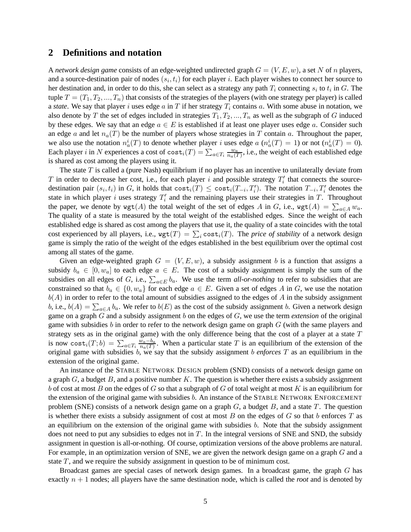### <span id="page-4-0"></span>**2 Definitions and notation**

A *network design game* consists of an edge-weighted undirected graph  $G = (V, E, w)$ , a set N of n players, and a source-destination pair of nodes  $(s_i, t_i)$  for each player i. Each player wishes to connect her source to her destination and, in order to do this, she can select as a strategy any path  $T_i$  connecting  $s_i$  to  $t_i$  in  $G$ . The tuple  $T = (T_1, T_2, ..., T_n)$  that consists of the strategies of the players (with one strategy per player) is called a *state*. We say that player i uses edge  $a$  in  $T$  if her strategy  $T_i$  contains  $a$ . With some abuse in notation, we also denote by T the set of edges included in strategies  $T_1, T_2, ..., T_n$  as well as the subgraph of G induced by these edges. We say that an edge  $a \in E$  is established if at least one player uses edge a. Consider such an edge a and let  $n_a(T)$  be the number of players whose strategies in T contain a. Throughout the paper, we also use the notation  $n_a^i(T)$  to denote whether player *i* uses edge *a*  $(n_a^i(T) = 1)$  or not  $(n_a^i(T) = 0)$ . Each player *i* in N experiences a cost of  $\text{cost}_i(T) = \sum_{a \in T_i} \frac{w_a}{n_a(T)}$  $\frac{w_a}{n_a(T)}$ , i.e., the weight of each established edge is shared as cost among the players using it.

The state  $T$  is called a (pure Nash) equilibrium if no player has an incentive to unilaterally deviate from T in order to decrease her cost, i.e., for each player i and possible strategy  $T_i'$  that connects the sourcedestination pair  $(s_i, t_i)$  in G, it holds that  $cost_i(T) \leq cost_i(T_{-i}, T'_i)$ . The notation  $T_{-i}, T'_i$  denotes the state in which player i uses strategy  $T_i'$  and the remaining players use their strategies in T. Throughout the paper, we denote by  $wgt(A)$  the total weight of the set of edges A in G, i.e.,  $wgt(A) = \sum_{a \in A} w_a$ . The quality of a state is measured by the total weight of the established edges. Since the weight of each established edge is shared as cost among the players that use it, the quality of a state coincides with the total cost experienced by all players, i.e.,  $wgt(T) = \sum_i cost_i(T)$ . The *price of stability* of a network design game is simply the ratio of the weight of the edges established in the best equilibrium over the optimal cost among all states of the game.

Given an edge-weighted graph  $G = (V, E, w)$ , a subsidy assignment b is a function that assigns a subsidy  $b_a \in [0, w_a]$  to each edge  $a \in E$ . The cost of a subsidy assignment is simply the sum of the subsidies on all edges of G, i.e.,  $\sum_{a \in E} b_a$ . We use the term *all-or-nothing* to refer to subsidies that are constrained so that  $b_a \in \{0, w_a\}$  for each edge  $a \in E$ . Given a set of edges A in G, we use the notation  $b(A)$  in order to refer to the total amount of subsidies assigned to the edges of A in the subsidy assignment b, i.e.,  $b(A) = \sum_{a \in A} b_a$ . We refer to  $b(E)$  as the cost of the subsidy assignment b. Given a network design game on a graph G and a subsidy assignment b on the edges of G, we use the term *extension* of the original game with subsidies b in order to refer to the network design game on graph  $G$  (with the same players and strategy sets as in the original game) with the only difference being that the cost of a player at a state  $T$ is now  $\texttt{cost}_i(T;b) = \sum_{a \in T_i} \frac{w_a - b_a}{n_a(T)}$  $\frac{w_a - b_a}{n_a(T)}$ . When a particular state T is an equilibrium of the extension of the original game with subsidies b, we say that the subsidy assignment b *enforces* T as an equilibrium in the extension of the original game.

An instance of the STABLE NETWORK DESIGN problem (SND) consists of a network design game on a graph  $G$ , a budget  $B$ , and a positive number  $K$ . The question is whether there exists a subsidy assignment b of cost at most B on the edges of G so that a subgraph of G of total weight at most K is an equilibrium for the extension of the original game with subsidies b. An instance of the STABLE NETWORK ENFORCEMENT problem (SNE) consists of a network design game on a graph  $G$ , a budget  $B$ , and a state  $T$ . The question is whether there exists a subsidy assignment of cost at most  $B$  on the edges of  $G$  so that  $b$  enforces  $T$  as an equilibrium on the extension of the original game with subsidies  $b$ . Note that the subsidy assignment does not need to put any subsidies to edges not in  $T$ . In the integral versions of SNE and SND, the subsidy assignment in question is all-or-nothing. Of course, optimization versions of the above problems are natural. For example, in an optimization version of SNE, we are given the network design game on a graph G and a state  $T$ , and we require the subsidy assignment in question to be of minimum cost.

Broadcast games are special cases of network design games. In a broadcast game, the graph G has exactly  $n + 1$  nodes; all players have the same destination node, which is called the *root* and is denoted by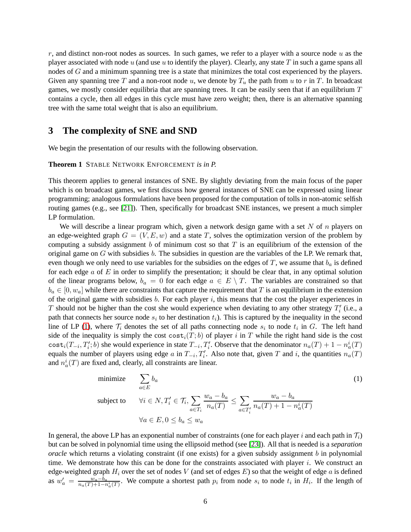$r$ , and distinct non-root nodes as sources. In such games, we refer to a player with a source node  $u$  as the player associated with node u (and use u to identify the player). Clearly, any state  $T$  in such a game spans all nodes of G and a minimum spanning tree is a state that minimizes the total cost experienced by the players. Given any spanning tree T and a non-root node u, we denote by  $T_u$  the path from u to r in T. In broadcast games, we mostly consider equilibria that are spanning trees. It can be easily seen that if an equilibrium  $T$ contains a cycle, then all edges in this cycle must have zero weight; then, there is an alternative spanning tree with the same total weight that is also an equilibrium.

### <span id="page-5-0"></span>**3 The complexity of SNE and SND**

<span id="page-5-2"></span>We begin the presentation of our results with the following observation.

#### **Theorem 1** STABLE NETWORK ENFORCEMENT *is in P.*

This theorem applies to general instances of SNE. By slightly deviating from the main focus of the paper which is on broadcast games, we first discuss how general instances of SNE can be expressed using linear programming; analogous formulations have been proposed for the computation of tolls in non-atomic selfish routing games (e.g., see [\[21\]](#page-29-8)). Then, specifically for broadcast SNE instances, we present a much simpler LP formulation.

We will describe a linear program which, given a network design game with a set N of  $n$  players on an edge-weighted graph  $G = (V, E, w)$  and a state T, solves the optimization version of the problem by computing a subsidy assignment b of minimum cost so that  $T$  is an equilibrium of the extension of the original game on  $G$  with subsidies  $b$ . The subsidies in question are the variables of the LP. We remark that, even though we only need to use variables for the subsidies on the edges of T, we assume that  $b_a$  is defined for each edge  $a$  of  $E$  in order to simplify the presentation; it should be clear that, in any optimal solution of the linear programs below,  $b_a = 0$  for each edge  $a \in E \setminus T$ . The variables are constrained so that  $b_a \in [0, w_a]$  while there are constraints that capture the requirement that T is an equilibrium in the extension of the original game with subsidies b. For each player  $i$ , this means that the cost the player experiences in T should not be higher than the cost she would experience when deviating to any other strategy  $T_i'$  (i.e., a path that connects her source node  $s_i$  to her destination  $t_i$ ). This is captured by the inequality in the second line of LP [\(1\)](#page-5-1), where  $\mathcal{T}_i$  denotes the set of all paths connecting node  $s_i$  to node  $t_i$  in G. The left hand side of the inequality is simply the cost  $cost_i(T; b)$  of player i in T while the right hand side is the cost cost<sub>i</sub>(T<sub>−i</sub>, T'<sub>i</sub>', b) she would experience in state  $T_{-i}$ , T'<sub>i</sub>. Observe that the denominator  $n_a(T) + 1 - n_a^i(T)$ equals the number of players using edge a in  $T_{-i}$ ,  $T'_i$ . Also note that, given T and i, the quantities  $n_a(T)$ and  $n_a^i(T)$  are fixed and, clearly, all constraints are linear.

<span id="page-5-1"></span>minimize 
$$
\sum_{a \in E} b_a
$$
  
\nsubject to 
$$
\forall i \in N, T'_i \in \mathcal{T}_i, \sum_{a \in T_i} \frac{w_a - b_a}{n_a(T)} \le \sum_{a \in T'_i} \frac{w_a - b_a}{n_a(T) + 1 - n_a^i(T)}
$$
  
\n
$$
\forall a \in E, 0 \le b_a \le w_a
$$
 (1)

In general, the above LP has an exponential number of constraints (one for each player i and each path in  $\mathcal{T}_i$ ) but can be solved in polynomial time using the ellipsoid method (see [\[23\]](#page-29-15)). All that is needed is a *separation oracle* which returns a violating constraint (if one exists) for a given subsidy assignment b in polynomial time. We demonstrate how this can be done for the constraints associated with player i. We construct an edge-weighted graph  $H_i$  over the set of nodes V (and set of edges E) so that the weight of edge a is defined as  $w'_a = \frac{w_a - b_a}{n_a(T) + 1 - n_a^i(T)}$ . We compute a shortest path  $p_i$  from node  $s_i$  to node  $t_i$  in  $H_i$ . If the length of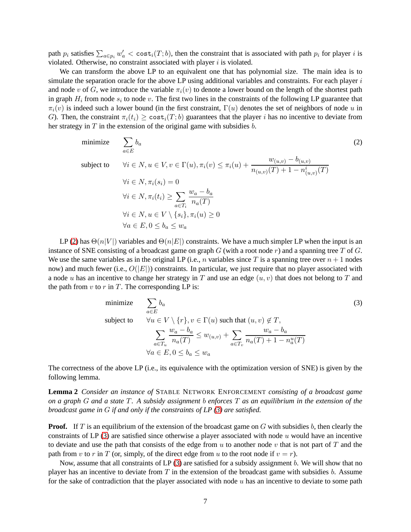path  $p_i$  satisfies  $\sum_{a \in p_i} w'_a < \text{cost}_i(T; b)$ , then the constraint that is associated with path  $p_i$  for player i is violated. Otherwise, no constraint associated with player  $i$  is violated.

We can transform the above LP to an equivalent one that has polynomial size. The main idea is to simulate the separation oracle for the above LP using additional variables and constraints. For each player is and node v of G, we introduce the variable  $\pi_i(v)$  to denote a lower bound on the length of the shortest path in graph  $H_i$  from node  $s_i$  to node v. The first two lines in the constraints of the following LP guarantee that  $\pi_i(v)$  is indeed such a lower bound (in the first constraint,  $\Gamma(u)$  denotes the set of neighbors of node u in G). Then, the constraint  $\pi_i(t_i) \geq \text{cost}_i(T; b)$  guarantees that the player i has no incentive to deviate from her strategy in  $T$  in the extension of the original game with subsidies  $b$ .

<span id="page-6-0"></span>minimize 
$$
\sum_{a \in E} b_a
$$
  
\nsubject to 
$$
\forall i \in N, u \in V, v \in \Gamma(u), \pi_i(v) \leq \pi_i(u) + \frac{w_{(u,v)} - b_{(u,v)}}{n_{(u,v)}(T) + 1 - n_{(u,v)}^i(T)}
$$

$$
\forall i \in N, \pi_i(s_i) = 0
$$

$$
\forall i \in N, \pi_i(t_i) \geq \sum_{a \in T_i} \frac{w_a - b_a}{n_a(T)}
$$

$$
\forall i \in N, u \in V \setminus \{s_i\}, \pi_i(u) \geq 0
$$

$$
\forall a \in E, 0 \leq b_a \leq w_a
$$
 (2)

LP [\(2\)](#page-6-0) has  $\Theta(n|V|)$  variables and  $\Theta(n|E|)$  constraints. We have a much simpler LP when the input is an instance of SNE consisting of a broadcast game on graph  $G$  (with a root node r) and a spanning tree  $T$  of  $G$ . We use the same variables as in the original LP (i.e., n variables since T is a spanning tree over  $n + 1$  nodes now) and much fewer (i.e.,  $O(|E|)$ ) constraints. In particular, we just require that no player associated with a node u has an incentive to change her strategy in T and use an edge  $(u, v)$  that does not belong to T and the path from  $v$  to  $r$  in  $T$ . The corresponding LP is:

<span id="page-6-1"></span>minimize 
$$
\sum_{a \in E} b_a
$$
  
\nsubject to 
$$
\forall u \in V \setminus \{r\}, v \in \Gamma(u) \text{ such that } (u, v) \notin T,
$$

$$
\sum_{a \in T_u} \frac{w_a - b_a}{n_a(T)} \le w_{(u,v)} + \sum_{a \in T_v} \frac{w_a - b_a}{n_a(T) + 1 - n_a^u(T)}
$$

$$
\forall a \in E, 0 \le b_a \le w_a
$$

$$
(3)
$$

<span id="page-6-2"></span>The correctness of the above LP (i.e., its equivalence with the optimization version of SNE) is given by the following lemma.

**Lemma 2** *Consider an instance of* STABLE NETWORK ENFORCEMENT *consisting of a broadcast game on a graph* G *and a state* T*. A subsidy assignment* b *enforces* T *as an equilibrium in the extension of the broadcast game in* G *if and only if the constraints of LP [\(3\)](#page-6-1) are satisfied.*

**Proof.** If T is an equilibrium of the extension of the broadcast game on G with subsidies b, then clearly the constraints of LP  $(3)$  are satisfied since otherwise a player associated with node u would have an incentive to deviate and use the path that consists of the edge from  $u$  to another node  $v$  that is not part of  $T$  and the path from v to r in T (or, simply, of the direct edge from u to the root node if  $v = r$ ).

Now, assume that all constraints of LP  $(3)$  are satisfied for a subsidy assignment b. We will show that no player has an incentive to deviate from  $T$  in the extension of the broadcast game with subsidies  $b$ . Assume for the sake of contradiction that the player associated with node  $u$  has an incentive to deviate to some path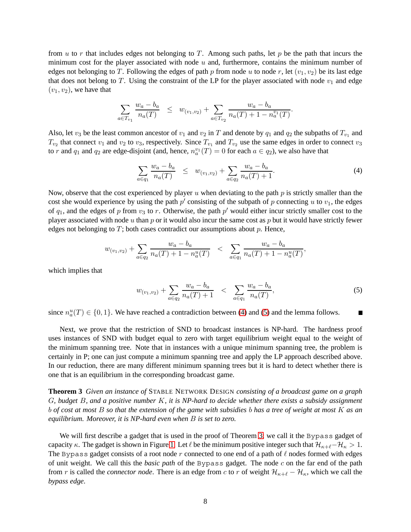from u to r that includes edges not belonging to T. Among such paths, let p be the path that incurs the minimum cost for the player associated with node  $u$  and, furthermore, contains the minimum number of edges not belonging to T. Following the edges of path p from node u to node r, let  $(v_1, v_2)$  be its last edge that does not belong to  $T$ . Using the constraint of the LP for the player associated with node  $v_1$  and edge  $(v_1, v_2)$ , we have that

$$
\sum_{a \in T_{v_1}} \frac{w_a - b_a}{n_a(T)} \leq w_{(v_1, v_2)} + \sum_{a \in T_{v_2}} \frac{w_a - b_a}{n_a(T) + 1 - n_a^{v_1}(T)}.
$$

Also, let  $v_3$  be the least common ancestor of  $v_1$  and  $v_2$  in T and denote by  $q_1$  and  $q_2$  the subpaths of  $T_{v_1}$  and  $T_{v_2}$  that connect  $v_1$  and  $v_2$  to  $v_3$ , respectively. Since  $T_{v_1}$  and  $T_{v_2}$  use the same edges in order to connect  $v_3$ to r and  $q_1$  and  $q_2$  are edge-disjoint (and, hence,  $n_a^{v_1}(T) = 0$  for each  $a \in q_2$ ), we also have that

<span id="page-7-0"></span>
$$
\sum_{a \in q_1} \frac{w_a - b_a}{n_a(T)} \leq w_{(v_1, v_2)} + \sum_{a \in q_2} \frac{w_a - b_a}{n_a(T) + 1}.
$$
\n(4)

Now, observe that the cost experienced by player u when deviating to the path p is strictly smaller than the cost she would experience by using the path  $p'$  consisting of the subpath of p connecting u to  $v_1$ , the edges of  $q_1$ , and the edges of p from  $v_3$  to r. Otherwise, the path p' would either incur strictly smaller cost to the player associated with node u than p or it would also incur the same cost as p but it would have strictly fewer edges not belonging to  $T$ ; both cases contradict our assumptions about  $p$ . Hence,

$$
w_{(v_1, v_2)} + \sum_{a \in q_2} \frac{w_a - b_a}{n_a(T) + 1 - n_a^u(T)}
$$
  $< \sum_{a \in q_1} \frac{w_a - b_a}{n_a(T) + 1 - n_a^u(T)}$ ,

which implies that

<span id="page-7-1"></span>
$$
w_{(v_1, v_2)} + \sum_{a \in q_2} \frac{w_a - b_a}{n_a(T) + 1} < \sum_{a \in q_1} \frac{w_a - b_a}{n_a(T)},\tag{5}
$$

since  $n_a^u(T) \in \{0, 1\}$ . We have reached a contradiction between [\(4\)](#page-7-0) and [\(5\)](#page-7-1) and the lemma follows.

Next, we prove that the restriction of SND to broadcast instances is NP-hard. The hardness proof uses instances of SND with budget equal to zero with target equilibrium weight equal to the weight of the minimum spanning tree. Note that in instances with a unique minimum spanning tree, the problem is certainly in P; one can just compute a minimum spanning tree and apply the LP approach described above. In our reduction, there are many different minimum spanning trees but it is hard to detect whether there is one that is an equilibrium in the corresponding broadcast game.

<span id="page-7-2"></span>**Theorem 3** *Given an instance of* STABLE NETWORK DESIGN *consisting of a broadcast game on a graph* G*, budget* B*, and a positive number* K*, it is NP-hard to decide whether there exists a subsidy assignment* b *of cost at most* B *so that the extension of the game with subsidies* b *has a tree of weight at most* K *as an equilibrium. Moreover, it is NP-hard even when* B *is set to zero.*

We will first describe a gadget that is used in the proof of Theorem [3;](#page-7-2) we call it the Bypass gadget of capacity κ. The gadget is shown in Figure [1.](#page-8-0) Let  $\ell$  be the minimum positive integer such that  $\mathcal{H}_{\kappa+\ell}-\mathcal{H}_{\kappa}>1$ . The Bypass gadget consists of a root node r connected to one end of a path of  $\ell$  nodes formed with edges of unit weight. We call this the *basic path* of the Bypass gadget. The node c on the far end of the path from r is called the *connector node*. There is an edge from c to r of weight  $\mathcal{H}_{\kappa+\ell} - \mathcal{H}_{\kappa}$ , which we call the *bypass edge*.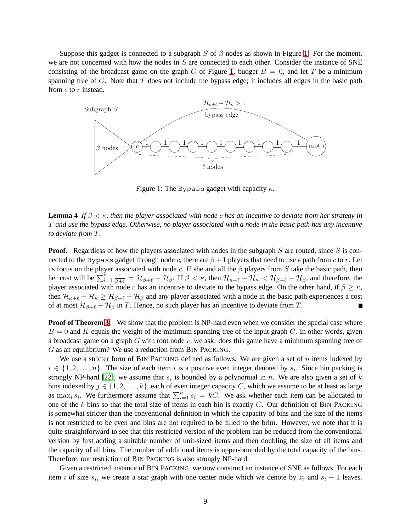Suppose this gadget is connected to a subgraph S of  $\beta$  nodes as shown in Figure [1.](#page-8-0) For the moment, we are not concerned with how the nodes in S are connected to each other. Consider the instance of SNE consisting of the broadcast game on the graph G of Figure [1,](#page-8-0) budget  $B = 0$ , and let T be a minimum spanning tree of  $G$ . Note that  $T$  does not include the bypass edge; it includes all edges in the basic path from c to r instead.



<span id="page-8-0"></span>Figure 1: The Bypass gadget with capacity  $\kappa$ .

<span id="page-8-1"></span>**Lemma 4** *If* β < κ*, then the player associated with node* c *has an incentive to deviate from her strategy in* T *and use the bypass edge. Otherwise, no player associated with a node in the basic path has any incentive to deviate from* T*.*

**Proof.** Regardless of how the players associated with nodes in the subgraph S are routed, since S is connected to the Bypass gadget through node c, there are  $\beta + 1$  players that need to use a path from c to r. Let us focus on the player associated with node c. If she and all the  $\beta$  players from S take the basic path, then her cost will be  $\sum_{i=1}^{\ell}\frac{1}{\beta+i}=\mathcal{H}_{\beta+\ell}-\mathcal{H}_{\beta}$ . If  $\beta<\kappa$ , then  $\mathcal{H}_{\kappa+\ell}-\mathcal{H}_{\kappa}<\mathcal{H}_{\beta+\ell}-\mathcal{H}_{\beta}$ , and therefore, the player associated with node c has an incentive to deviate to the bypass edge. On the other hand, if  $\beta \geq \kappa$ , then  $H_{\kappa+\ell}-H_{\kappa}\geq H_{\beta+\ell}-H_{\beta}$  and any player associated with a node in the basic path experiences a cost of at most  $\mathcal{H}_{\beta+\ell} - \mathcal{H}_{\beta}$  in T. Hence, no such player has an incentive to deviate from T.

**Proof of Theorem [3.](#page-7-2)** We show that the problem is NP-hard even when we consider the special case where  $B = 0$  and K equals the weight of the minimum spanning tree of the input graph G. In other words, given a broadcast game on a graph  $G$  with root node  $r$ , we ask: does this game have a minimum spanning tree of G as an equilibrium? We use a reduction from BIN PACKING.

We use a stricter form of BIN PACKING defined as follows. We are given a set of  $n$  items indexed by  $i \in \{1, 2, \ldots, n\}$ . The size of each item i is a positive even integer denoted by  $s_i$ . Since bin packing is strongly NP-hard [\[22\]](#page-29-16), we assume that  $s_i$  is bounded by a polynomial in n. We are also given a set of k bins indexed by  $j \in \{1, 2, \ldots, k\}$ , each of even integer capacity C, which we assume to be at least as large as max<sub>i</sub>  $s_i$ . We furthermore assume that  $\sum_{i=1}^n s_i = kC$ . We ask whether each item can be allocated to one of the  $k$  bins so that the total size of items in each bin is exactly  $C$ . Our definition of BIN PACKING is somewhat stricter than the conventional definition in which the capacity of bins and the size of the items is not restricted to be even and bins are not required to be filled to the brim. However, we note that it is quite straightforward to see that this restricted version of the problem can be reduced from the conventional version by first adding a suitable number of unit-sized items and then doubling the size of all items and the capacity of all bins. The number of additional items is upper-bounded by the total capacity of the bins. Therefore, our restriction of BIN PACKING is also strongly NP-hard.

Given a restricted instance of BIN PACKING, we now construct an instance of SNE as follows. For each item i of size  $s_i$ , we create a star graph with one center node which we denote by  $x_i$  and  $s_i - 1$  leaves.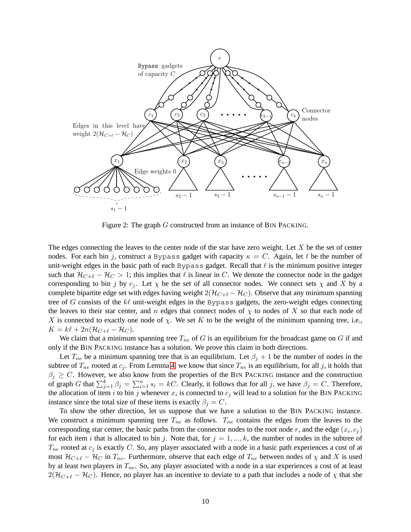

Figure 2: The graph G constructed from an instance of BIN PACKING.

The edges connecting the leaves to the center node of the star have zero weight. Let  $X$  be the set of center nodes. For each bin j, construct a Bypass gadget with capacity  $\kappa = C$ . Again, let  $\ell$  be the number of unit-weight edges in the basic path of each Bypass gadget. Recall that  $\ell$  is the minimum positive integer such that  $H_{C+\ell} - H_C > 1$ ; this implies that  $\ell$  is linear in C. We denote the connector node in the gadget corresponding to bin j by  $c_j$ . Let  $\chi$  be the set of all connector nodes. We connect sets  $\chi$  and X by a complete bipartite edge set with edges having weight  $2(\mathcal{H}_{C+\ell}-\mathcal{H}_C)$ . Observe that any minimum spanning tree of G consists of the  $k\ell$  unit-weight edges in the Bypass gadgets, the zero-weight edges connecting the leaves to their star center, and n edges that connect nodes of  $\chi$  to nodes of X so that each node of X is connected to exactly one node of  $\chi$ . We set K to be the weight of the minimum spanning tree, i.e.,  $K = k\ell + 2n(\mathcal{H}_{C+\ell} - \mathcal{H}_C).$ 

We claim that a minimum spanning tree  $T_{ne}$  of G is an equilibrium for the broadcast game on G if and only if the BIN PACKING instance has a solution. We prove this claim in both directions.

Let  $T_{ne}$  be a minimum spanning tree that is an equilibrium. Let  $\beta_j + 1$  be the number of nodes in the subtree of  $T_{ne}$  rooted at  $c_j$ . From Lemma [4,](#page-8-1) we know that since  $T_{ne}$  is an equilibrium, for all j, it holds that  $\beta_j \geq C$ . However, we also know from the properties of the BIN PACKING instance and the construction of graph G that  $\sum_{j=1}^{k} \beta_j = \sum_{i=1}^{n} s_i = kC$ . Clearly, it follows that for all j, we have  $\beta_j = C$ . Therefore, the allocation of item i to bin j whenever  $x_i$  is connected to  $c_j$  will lead to a solution for the BIN PACKING instance since the total size of these items is exactly  $\beta_i = C$ .

To show the other direction, let us suppose that we have a solution to the BIN PACKING instance. We construct a minimum spanning tree  $T_{ne}$  as follows.  $T_{ne}$  contains the edges from the leaves to the corresponding star center, the basic paths from the connector nodes to the root node r, and the edge  $(x_i, c_j)$ for each item i that is allocated to bin j. Note that, for  $j = 1, ..., k$ , the number of nodes in the subtree of  $T_{ne}$  rooted at  $c_i$  is exactly C. So, any player associated with a node in a basic path experiences a cost of at most  $\mathcal{H}_{C+\ell} - \mathcal{H}_C$  in  $T_{ne}$ . Furthermore, observe that each edge of  $T_{ne}$  between nodes of  $\chi$  and X is used by at least two players in  $T_{ne}$ . So, any player associated with a node in a star experiences a cost of at least  $2(\mathcal{H}_{C+\ell} - \mathcal{H}_C)$ . Hence, no player has an incentive to deviate to a path that includes a node of  $\chi$  that she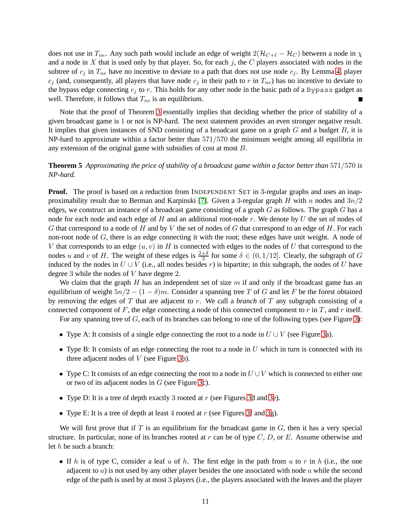does not use in  $T_{ne}$ . Any such path would include an edge of weight  $2(\mathcal{H}_{C+\ell}-\mathcal{H}_C)$  between a node in  $\chi$ and a node in  $X$  that is used only by that player. So, for each  $j$ , the  $C$  players associated with nodes in the subtree of  $c_j$  in  $T_{ne}$  have no incentive to deviate to a path that does not use node  $c_j$ . By Lemma [4,](#page-8-1) player  $c_j$  (and, consequently, all players that have node  $c_j$  in their path to r in  $T_{ne}$ ) has no incentive to deviate to the bypass edge connecting  $c_i$  to r. This holds for any other node in the basic path of a Bypass gadget as well. Therefore, it follows that  $T_{ne}$  is an equilibrium. Ξ

Note that the proof of Theorem [3](#page-7-2) essentially implies that deciding whether the price of stability of a given broadcast game is 1 or not is NP-hard. The next statement provides an even stronger negative result. It implies that given instances of SND consisting of a broadcast game on a graph  $G$  and a budget  $B$ , it is NP-hard to approximate within a factor better than 571/570 the minimum weight among all equilibria in any extension of the original game with subsidies of cost at most B.

### <span id="page-10-0"></span>**Theorem 5** *Approximating the price of stability of a broadcast game within a factor better than* 571/570 *is NP-hard.*

**Proof.** The proof is based on a reduction from INDEPENDENT SET in 3-regular graphs and uses an inap-proximability result due to Berman and Karpinski [\[7\]](#page-28-15). Given a 3-regular graph H with n nodes and  $3n/2$ edges, we construct an instance of a broadcast game consisting of a graph  $G$  as follows. The graph  $G$  has a node for each node and each edge of H and an additional root-node r. We denote by U the set of nodes of G that correspond to a node of H and by V the set of nodes of G that correspond to an edge of H. For each non-root node of G, there is an edge connecting it with the root; these edges have unit weight. A node of V that corresponds to an edge  $(u, v)$  in H is connected with edges to the nodes of U that correspond to the nodes u and v of H. The weight of these edges is  $\frac{2+\delta}{3}$  for some  $\delta \in (0,1/12]$ . Clearly, the subgraph of G induced by the nodes in  $U \cup V$  (i.e., all nodes besides r) is bipartite; in this subgraph, the nodes of U have degree 3 while the nodes of V have degree 2.

We claim that the graph  $H$  has an independent set of size  $m$  if and only if the broadcast game has an equilibrium of weight  $5n/2 - (1 - \delta)m$ . Consider a spanning tree T of G and let F be the forest obtained by removing the edges of T that are adjacent to r. We call a *branch* of T any subgraph consisting of a connected component of  $F$ , the edge connecting a node of this connected component to  $r$  in  $T$ , and  $r$  itself.

For any spanning tree of G, each of its branches can belong to one of the following types (see Figure [3\)](#page-11-0):

- Type A: It consists of a single edge connecting the root to a node in  $U \cup V$  (see Figure [3a](#page-11-0)).
- Type B: It consists of an edge connecting the root to a node in  $U$  which in turn is connected with its three adjacent nodes of  $V$  (see Figure [3b](#page-11-0)).
- Type C: It consists of an edge connecting the root to a node in  $U \cup V$  which is connected to either one or two of its adjacent nodes in G (see Figure [3c](#page-11-0)).
- Type D: It is a tree of depth exactly 3 rooted at  $r$  (see Figures [3d](#page-11-0) and [3e](#page-11-0)).
- Type E: It is a tree of depth at least 4 rooted at  $r$  (see Figures [3f](#page-11-0) and [3g](#page-11-0)).

We will first prove that if  $T$  is an equilibrium for the broadcast game in  $G$ , then it has a very special structure. In particular, none of its branches rooted at r can be of type  $C, D$ , or E. Assume otherwise and let h be such a branch:

• If h is of type C, consider a leaf u of h. The first edge in the path from u to r in h (i.e., the one adjacent to  $u$ ) is not used by any other player besides the one associated with node  $u$  while the second edge of the path is used by at most 3 players (i.e., the players associated with the leaves and the player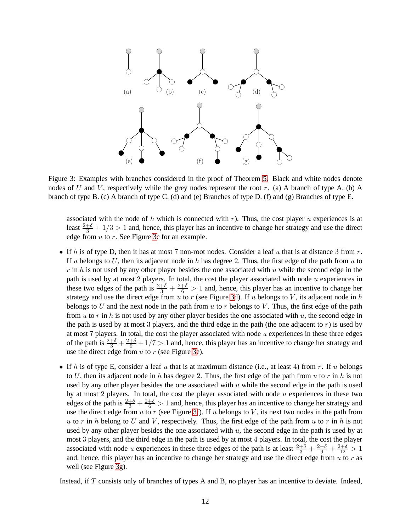

<span id="page-11-0"></span>Figure 3: Examples with branches considered in the proof of Theorem [5.](#page-10-0) Black and white nodes denote nodes of U and V, respectively while the grey nodes represent the root  $r$ . (a) A branch of type A. (b) A branch of type B. (c) A branch of type C. (d) and (e) Branches of type D. (f) and (g) Branches of type E.

associated with the node of h which is connected with r). Thus, the cost player u experiences is at least  $\frac{2+\delta}{3}+1/3>1$  and, hence, this player has an incentive to change her strategy and use the direct edge from  $u$  to  $r$ . See Figure [3c](#page-11-0) for an example.

- If h is of type D, then it has at most 7 non-root nodes. Consider a leaf u that is at distance 3 from  $r$ . If u belongs to U, then its adjacent node in  $h$  has degree 2. Thus, the first edge of the path from  $u$  to  $r$  in h is not used by any other player besides the one associated with u while the second edge in the path is used by at most 2 players. In total, the cost the player associated with node  $u$  experiences in these two edges of the path is  $\frac{2+\delta}{3} + \frac{2+\delta}{6} > 1$  and, hence, this player has an incentive to change her strategy and use the direct edge from  $u$  to  $r$  (see Figure [3d](#page-11-0)). If  $u$  belongs to  $V$ , its adjacent node in  $h$ belongs to  $U$  and the next node in the path from  $u$  to  $r$  belongs to  $V$ . Thus, the first edge of the path from u to r in h is not used by any other player besides the one associated with u, the second edge in the path is used by at most 3 players, and the third edge in the path (the one adjacent to  $r$ ) is used by at most 7 players. In total, the cost the player associated with node  $u$  experiences in these three edges of the path is  $\frac{2+\delta}{3} + \frac{2+\delta}{9} + 1/7 > 1$  and, hence, this player has an incentive to change her strategy and use the direct edge from  $u$  to  $r$  (see Figure [3e](#page-11-0)).
- If h is of type E, consider a leaf u that is at maximum distance (i.e., at least 4) from r. If u belongs to U, then its adjacent node in h has degree 2. Thus, the first edge of the path from u to r in h is not used by any other player besides the one associated with  $u$  while the second edge in the path is used by at most 2 players. In total, the cost the player associated with node  $u$  experiences in these two edges of the path is  $\frac{2+\delta}{3}+\frac{2+\delta}{6}>1$  and, hence, this player has an incentive to change her strategy and use the direct edge from  $u$  to  $r$  (see Figure [3f](#page-11-0)). If  $u$  belongs to  $V$ , its next two nodes in the path from u to r in h belong to U and V, respectively. Thus, the first edge of the path from u to r in h is not used by any other player besides the one associated with  $u$ , the second edge in the path is used by at most 3 players, and the third edge in the path is used by at most 4 players. In total, the cost the player associated with node u experiences in these three edges of the path is at least  $\frac{2+\delta}{3} + \frac{2+\delta}{9} + \frac{2+\delta}{12} > 1$ and, hence, this player has an incentive to change her strategy and use the direct edge from  $u$  to  $r$  as well (see Figure [3g](#page-11-0)).

Instead, if T consists only of branches of types A and B, no player has an incentive to deviate. Indeed,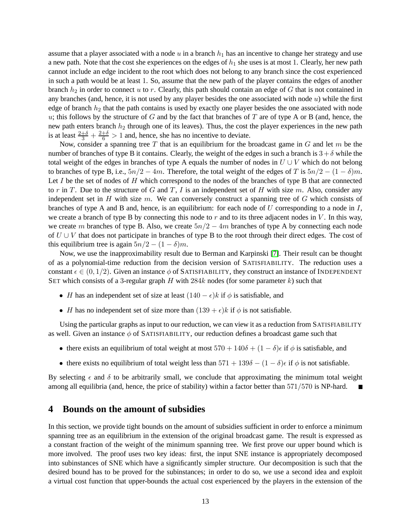assume that a player associated with a node  $u$  in a branch  $h_1$  has an incentive to change her strategy and use a new path. Note that the cost she experiences on the edges of  $h_1$  she uses is at most 1. Clearly, her new path cannot include an edge incident to the root which does not belong to any branch since the cost experienced in such a path would be at least 1. So, assume that the new path of the player contains the edges of another branch  $h_2$  in order to connect u to r. Clearly, this path should contain an edge of G that is not contained in any branches (and, hence, it is not used by any player besides the one associated with node  $u$ ) while the first edge of branch  $h_2$  that the path contains is used by exactly one player besides the one associated with node u; this follows by the structure of  $G$  and by the fact that branches of  $T$  are of type A or B (and, hence, the new path enters branch  $h_2$  through one of its leaves). Thus, the cost the player experiences in the new path is at least  $\frac{2+\delta}{3} + \frac{2+\delta}{6} > 1$  and, hence, she has no incentive to deviate.

Now, consider a spanning tree T that is an equilibrium for the broadcast game in  $G$  and let  $m$  be the number of branches of type B it contains. Clearly, the weight of the edges in such a branch is  $3+\delta$  while the total weight of the edges in branches of type A equals the number of nodes in  $U \cup V$  which do not belong to branches of type B, i.e.,  $5n/2 - 4m$ . Therefore, the total weight of the edges of T is  $5n/2 - (1 - \delta)m$ . Let  $I$  be the set of nodes of  $H$  which correspond to the nodes of the branches of type  $B$  that are connected to r in T. Due to the structure of G and T, I is an independent set of H with size m. Also, consider any independent set in  $H$  with size  $m$ . We can conversely construct a spanning tree of  $G$  which consists of branches of type A and B and, hence, is an equilibrium: for each node of  $U$  corresponding to a node in  $I$ , we create a branch of type B by connecting this node to  $r$  and to its three adjacent nodes in  $V$ . In this way, we create m branches of type B. Also, we create  $5n/2 - 4m$  branches of type A by connecting each node of  $U \cup V$  that does not participate in branches of type B to the root through their direct edges. The cost of this equilibrium tree is again  $5n/2 - (1 - \delta)m$ .

Now, we use the inapproximability result due to Berman and Karpinski [\[7\]](#page-28-15). Their result can be thought of as a polynomial-time reduction from the decision version of SATISFIABILITY. The reduction uses a constant  $\epsilon \in (0, 1/2)$ . Given an instance  $\phi$  of SATISFIABILITY, they construct an instance of INDEPENDENT SET which consists of a 3-regular graph  $H$  with 284 $k$  nodes (for some parameter  $k$ ) such that

- H has an independent set of size at least  $(140 \epsilon)k$  if  $\phi$  is satisfiable, and
- H has no independent set of size more than  $(139 + \epsilon)k$  if  $\phi$  is not satisfiable.

Using the particular graphs as input to our reduction, we can view it as a reduction from SATISFIABILITY as well. Given an instance  $\phi$  of SATISFIABILITY, our reduction defines a broadcast game such that

- there exists an equilibrium of total weight at most  $570 + 140\delta + (1 \delta)\epsilon$  if  $\phi$  is satisfiable, and
- there exists no equilibrium of total weight less than  $571 + 139\delta (1 \delta)\epsilon$  if  $\phi$  is not satisfiable.

By selecting  $\epsilon$  and  $\delta$  to be arbitrarily small, we conclude that approximating the minimum total weight among all equilibria (and, hence, the price of stability) within a factor better than 571/570 is NP-hard. П

### <span id="page-12-0"></span>**4 Bounds on the amount of subsidies**

In this section, we provide tight bounds on the amount of subsidies sufficient in order to enforce a minimum spanning tree as an equilibrium in the extension of the original broadcast game. The result is expressed as a constant fraction of the weight of the minimum spanning tree. We first prove our upper bound which is more involved. The proof uses two key ideas: first, the input SNE instance is appropriately decomposed into subinstances of SNE which have a significantly simpler structure. Our decomposition is such that the desired bound has to be proved for the subinstances; in order to do so, we use a second idea and exploit a virtual cost function that upper-bounds the actual cost experienced by the players in the extension of the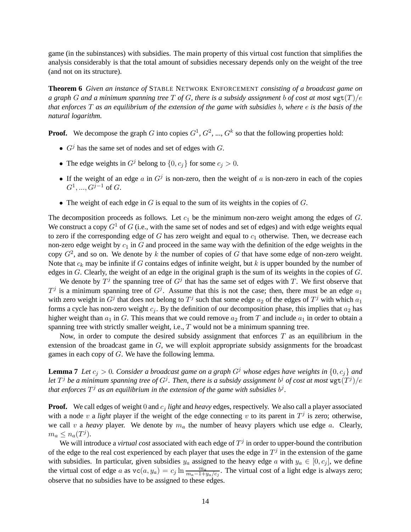<span id="page-13-2"></span>game (in the subinstances) with subsidies. The main property of this virtual cost function that simplifies the analysis considerably is that the total amount of subsidies necessary depends only on the weight of the tree (and not on its structure).

**Theorem 6** *Given an instance of* STABLE NETWORK ENFORCEMENT *consisting of a broadcast game on a graph* G *and a minimum spanning tree* T *of* G, there is a subsidy assignment b of cost at most  $\text{wgt}(T)/e$ *that enforces* T *as an equilibrium of the extension of the game with subsidies* b*, where* e *is the basis of the natural logarithm.*

**Proof.** We decompose the graph G into copies  $G^1$ ,  $G^2$ , ...,  $G^k$  so that the following properties hold:

- $G<sup>j</sup>$  has the same set of nodes and set of edges with  $G$ .
- The edge weights in  $G^j$  belong to  $\{0, c_i\}$  for some  $c_j > 0$ .
- If the weight of an edge a in  $G^j$  is non-zero, then the weight of a is non-zero in each of the copies  $G^1,...,G^{j-1}$  of  $G.$
- The weight of each edge in  $G$  is equal to the sum of its weights in the copies of  $G$ .

The decomposition proceeds as follows. Let  $c_1$  be the minimum non-zero weight among the edges of  $G$ . We construct a copy  $G^1$  of G (i.e., with the same set of nodes and set of edges) and with edge weights equal to zero if the corresponding edge of G has zero weight and equal to  $c_1$  otherwise. Then, we decrease each non-zero edge weight by  $c_1$  in G and proceed in the same way with the definition of the edge weights in the copy  $G^2$ , and so on. We denote by k the number of copies of G that have some edge of non-zero weight. Note that  $c_k$  may be infinite if G contains edges of infinite weight, but k is upper bounded by the number of edges in G. Clearly, the weight of an edge in the original graph is the sum of its weights in the copies of G.

We denote by  $T^j$  the spanning tree of  $G^j$  that has the same set of edges with T. We first observe that  $T^j$  is a minimum spanning tree of  $G^j$ . Assume that this is not the case; then, there must be an edge  $a_1$ with zero weight in  $G^j$  that does not belong to  $T^j$  such that some edge  $a_2$  of the edges of  $T^j$  with which  $a_1$ forms a cycle has non-zero weight  $c_j$ . By the definition of our decomposition phase, this implies that  $a_2$  has higher weight than  $a_1$  in G. This means that we could remove  $a_2$  from T and include  $a_1$  in order to obtain a spanning tree with strictly smaller weight, i.e.,  $T$  would not be a minimum spanning tree.

Now, in order to compute the desired subsidy assignment that enforces  $T$  as an equilibrium in the extension of the broadcast game in  $G$ , we will exploit appropriate subsidy assignments for the broadcast games in each copy of  $G$ . We have the following lemma.

<span id="page-13-1"></span>**Lemma 7** *Let*  $c_i > 0$ *. Consider a broadcast game on a graph*  $G^j$  *whose edges have weights in*  $\{0, c_j\}$  *and* let  $T^j$  be a minimum spanning tree of  $G^j$ . Then, there is a subsidy assignment  $b^j$  of cost at most  $\texttt{wgt}(T^j)/e$ that enforces  $T^j$  as an equilibrium in the extension of the game with subsidies  $b^j$ .

**Proof.** We call edges of weight 0 and  $c_j$  *light* and *heavy* edges, respectively. We also call a player associated with a node v a *light* player if the weight of the edge connecting v to its parent in  $T<sup>j</sup>$  is zero; otherwise, we call v a *heavy* player. We denote by  $m_a$  the number of heavy players which use edge a. Clearly,  $m_a \leq n_a(T^j).$ 

<span id="page-13-0"></span>We will introduce a *virtual cost* associated with each edge of  $T<sup>j</sup>$  in order to upper-bound the contribution of the edge to the real cost experienced by each player that uses the edge in  $T<sup>j</sup>$  in the extension of the game with subsidies. In particular, given subsidies  $y_a$  assigned to the heavy edge a with  $y_a \in [0, c_j]$ , we define the virtual cost of edge a as  $\text{vc}(a, y_a) = c_j \ln \frac{m_a}{m_a - 1 + y_a/c_j}$ . The virtual cost of a light edge is always zero; observe that no subsidies have to be assigned to these edges.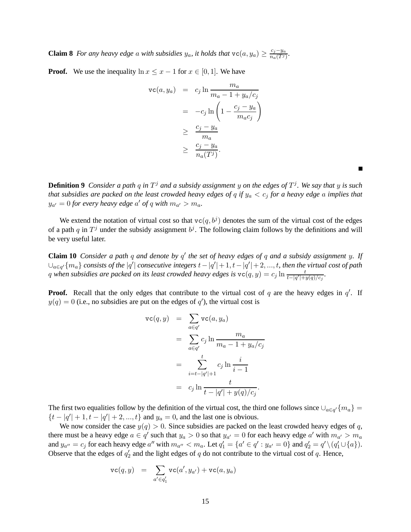**Claim 8** *For any heavy edge* a *with subsidies*  $y_a$ , *it holds that*  $\text{vc}(a, y_a) \geq \frac{c_j - y_a}{n_a(T)}$  $\frac{c_j - y_a}{n_a(T^j)}$ .

**Proof.** We use the inequality  $\ln x \leq x - 1$  for  $x \in [0, 1]$ . We have

$$
\begin{array}{rcl}\n\text{vc}(a, y_a) & = & c_j \ln \frac{m_a}{m_a - 1 + y_a/c_j} \\
& = & -c_j \ln \left( 1 - \frac{c_j - y_a}{m_a c_j} \right) \\
& \geq & \frac{c_j - y_a}{m_a} \\
& \geq & \frac{c_j - y_a}{n_a(T^j)}.\n\end{array}
$$

**Definition 9** *Consider a path* q *in* T <sup>j</sup> *and a subsidy assignment* y *on the edges of* T j *. We say that* y *is such that subsidies are packed on the least crowded heavy edges of* q *if* y<sup>a</sup> < c<sup>j</sup> *for a heavy edge* a *implies that*  $y_{a'} = 0$  *for every heavy edge* a' *of* q *with*  $m_{a'} > m_a$ .

П

We extend the notation of virtual cost so that  $vc(q, b^j)$  denotes the sum of the virtual cost of the edges of a path q in  $T<sup>j</sup>$  under the subsidy assignment  $b<sup>j</sup>$ . The following claim follows by the definitions and will be very useful later.

<span id="page-14-0"></span>**Claim 10** *Consider a path* q *and denote by* q ′ *the set of heavy edges of* q *and a subsidy assignment* y*. If*  $\cup_{a\in q'}$ { $m_a$ } *consists of the* |q'| *consecutive integers*  $t-|q'|+1, t-|q'|+2, ..., t$ , *then the virtual cost of path* q when subsidies are packed on its least crowded heavy edges is  $\text{vc}(q, y) = c_j \ln \frac{t}{t-|q'|+y(q)/c_j}$ .

**Proof.** Recall that the only edges that contribute to the virtual cost of  $q$  are the heavy edges in  $q'$ . If  $y(q) = 0$  (i.e., no subsidies are put on the edges of  $q'$ ), the virtual cost is

$$
\begin{array}{rcl}\n\text{vc}(q,y) & = & \sum_{a \in q'} \text{vc}(a, y_a) \\
& = & \sum_{a \in q'} c_j \ln \frac{m_a}{m_a - 1 + y_a/c_j} \\
& = & \sum_{i=t-|q'|+1}^t c_j \ln \frac{i}{i-1} \\
& = & c_j \ln \frac{t}{t-|q'| + y(q)/c_j}.\n\end{array}
$$

The first two equalities follow by the definition of the virtual cost, the third one follows since  $\cup_{a\in q'}\{m_a\}$  $\{t - |q'| + 1, t - |q'| + 2, ..., t\}$  and  $y_a = 0$ , and the last one is obvious.

We now consider the case  $y(q) > 0$ . Since subsidies are packed on the least crowded heavy edges of q, there must be a heavy edge  $a \in q'$  such that  $y_a > 0$  so that  $y_{a'} = 0$  for each heavy edge  $a'$  with  $m_{a'} > m_a$ and  $y_{a''} = c_j$  for each heavy edge  $a''$  with  $m_{a''} < m_a$ . Let  $q'_1 = \{a' \in q' : y_{a'} = 0\}$  and  $q'_2 = q' \setminus (q'_1 \cup \{a\})$ . Observe that the edges of  $q'_2$  and the light edges of q do not contribute to the virtual cost of q. Hence,

$$
\mathtt{vc}(q,y) \;\; = \;\; \sum_{a' \in q'_1} \mathtt{vc}(a',y_{a'}) + \mathtt{vc}(a,y_a)
$$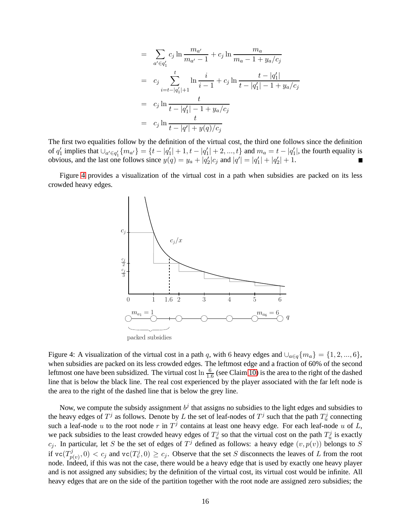$$
= \sum_{a' \in q'_1} c_j \ln \frac{m_{a'}}{m_{a'} - 1} + c_j \ln \frac{m_a}{m_a - 1 + y_a/c_j}
$$
  
\n
$$
= c_j \sum_{i=t-|q'_1|+1}^{t} \ln \frac{i}{i-1} + c_j \ln \frac{t-|q'_1|}{t-|q'_1| - 1 + y_a/c_j}
$$
  
\n
$$
= c_j \ln \frac{t}{t-|q'_1| - 1 + y_a/c_j}
$$
  
\n
$$
= c_j \ln \frac{t}{t-|q'| + y(q)/c_j}
$$

The first two equalities follow by the definition of the virtual cost, the third one follows since the definition of  $q'_1$  implies that  $\bigcup_{a' \in q'_1} \{m_{a'}\} = \{t - |q'_1| + 1, t - |q'_1| + 2, ..., t\}$  and  $m_a = t - |q'_1|$ , the fourth equality is obvious, and the last one follows since  $y(q) = y_a + |q'_2|c_j$  and  $|q'| = |q'_1| + |q'_2| + 1$ .

Figure [4](#page-15-0) provides a visualization of the virtual cost in a path when subsidies are packed on its less crowded heavy edges.



<span id="page-15-0"></span>Figure 4: A visualization of the virtual cost in a path q, with 6 heavy edges and  $\bigcup_{a \in q} \{m_a\} = \{1, 2, ..., 6\}$ , when subsidies are packed on its less crowded edges. The leftmost edge and a fraction of 60% of the second leftmost one have been subsidized. The virtual cost  $\ln \frac{6}{1.6}$  (see Claim [10\)](#page-14-0) is the area to the right of the dashed line that is below the black line. The real cost experienced by the player associated with the far left node is the area to the right of the dashed line that is below the grey line.

Now, we compute the subsidy assignment  $b^j$  that assigns no subsidies to the light edges and subsidies to the heavy edges of  $T^j$  as follows. Denote by L the set of leaf-nodes of  $T^j$  such that the path  $T_u^j$  connecting such a leaf-node u to the root node r in  $T<sup>j</sup>$  contains at least one heavy edge. For each leaf-node u of L, we pack subsidies to the least crowded heavy edges of  $T_u^j$  so that the virtual cost on the path  $T_u^j$  is exactly  $c_j$ . In particular, let S be the set of edges of  $T^j$  defined as follows: a heavy edge  $(v, p(v))$  belongs to S if  $\mathtt{vc}(T^j_n)$  $p(v_0,0) < c_j$  and  $\text{vc}(T_v^j,0) \ge c_j$ . Observe that the set S disconnects the leaves of L from the root node. Indeed, if this was not the case, there would be a heavy edge that is used by exactly one heavy player and is not assigned any subsidies; by the definition of the virtual cost, its virtual cost would be infinite. All heavy edges that are on the side of the partition together with the root node are assigned zero subsidies; the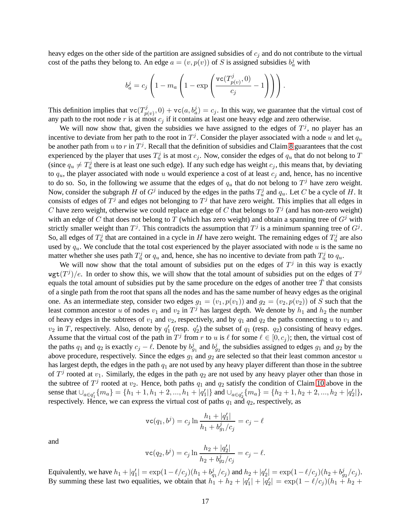heavy edges on the other side of the partition are assigned subsidies of  $c_j$  and do not contribute to the virtual cost of the paths they belong to. An edge  $a = (v, p(v))$  of S is assigned subsidies  $b_a^j$  with

$$
b_a^j = c_j \left( 1 - m_a \left( 1 - \exp \left( \frac{\text{vc}(T_{p(v)}^j, 0)}{c_j} - 1 \right) \right) \right).
$$

This definition implies that  $\text{vc}(T_n^j)$  $p(v, v_0, v_0) + \text{vc}(a, b_a^j) = c_j$ . In this way, we guarantee that the virtual cost of any path to the root node r is at most  $c_j$  if it contains at least one heavy edge and zero otherwise.

We will now show that, given the subsidies we have assigned to the edges of  $T<sup>j</sup>$ , no player has an incentive to deviate from her path to the root in  $T^j$ . Consider the player associated with a node u and let  $q_u$ be another path from u to r in  $T^j$ . Recall that the definition of subsidies and Claim [8](#page-13-0) guarantees that the cost experienced by the player that uses  $T_u^j$  is at most  $c_j$ . Now, consider the edges of  $q_u$  that do not belong to T (since  $q_u \neq T_u^j$  there is at least one such edge). If any such edge has weight  $c_j$ , this means that, by deviating to  $q_u$ , the player associated with node u would experience a cost of at least  $c_i$  and, hence, has no incentive to do so. So, in the following we assume that the edges of  $q_u$  that do not belong to  $T^j$  have zero weight. Now, consider the subgraph H of  $G^j$  induced by the edges in the paths  $T_u^j$  and  $q_u$ . Let C be a cycle of H. It consists of edges of  $T^j$  and edges not belonging to  $T^j$  that have zero weight. This implies that all edges in C have zero weight, otherwise we could replace an edge of C that belongs to  $T<sup>j</sup>$  (and has non-zero weight) with an edge of C that does not belong to T (which has zero weight) and obtain a spanning tree of  $G<sup>j</sup>$  with strictly smaller weight than  $T^j$ . This contradicts the assumption that  $T^j$  is a minimum spanning tree of  $G^j$ . So, all edges of  $T_u^j$  that are contained in a cycle in H have zero weight. The remaining edges of  $T_u^j$  are also used by  $q_u$ . We conclude that the total cost experienced by the player associated with node u is the same no matter whether she uses path  $T_u^j$  or  $q_u$  and, hence, she has no incentive to deviate from path  $T_u^j$  to  $q_u$ .

We will now show that the total amount of subsidies put on the edges of  $T<sup>j</sup>$  in this way is exactly  $\text{wgt}(T^j)/e$ . In order to show this, we will show that the total amount of subsidies put on the edges of  $T^j$ equals the total amount of subsidies put by the same procedure on the edges of another tree  $T$  that consists of a single path from the root that spans all the nodes and has the same number of heavy edges as the original one. As an intermediate step, consider two edges  $g_1 = (v_1, p(v_1))$  and  $g_2 = (v_2, p(v_2))$  of S such that the least common ancestor u of nodes  $v_1$  and  $v_2$  in  $T^j$  has largest depth. We denote by  $h_1$  and  $h_2$  the number of heavy edges in the subtrees of  $v_1$  and  $v_2$ , respectively, and by  $q_1$  and  $q_2$  the paths connecting u to  $v_1$  and  $v_2$  in T, respectively. Also, denote by  $q'_1$  (resp.  $q'_2$ ) the subset of  $q_1$  (resp.  $q_2$ ) consisting of heavy edges. Assume that the virtual cost of the path in  $T^j$  from r to u is  $\ell$  for some  $\ell \in [0, c_j)$ ; then, the virtual cost of the paths  $q_1$  and  $q_2$  is exactly  $c_j - \ell$ . Denote by  $b_{g_1}^j$  and  $b_{g_2}^j$  the subsidies assigned to edges  $g_1$  and  $g_2$  by the above procedure, respectively. Since the edges  $g_1$  and  $g_2$  are selected so that their least common ancestor u has largest depth, the edges in the path  $q_1$  are not used by any heavy player different than those in the subtree of  $T^j$  rooted at  $v_1$ . Similarly, the edges in the path  $q_2$  are not used by any heavy player other than those in the subtree of  $T^j$  rooted at  $v_2$ . Hence, both paths  $q_1$  and  $q_2$  satisfy the condition of Claim [10](#page-14-0) above in the sense that  $\bigcup_{a \in q'_1} \{m_a\} = \{h_1 + 1, h_1 + 2, ..., h_1 + |q'_1|\}$  and  $\bigcup_{a \in q'_2} \{m_a\} = \{h_2 + 1, h_2 + 2, ..., h_2 + |q'_2|\},\$ respectively. Hence, we can express the virtual cost of paths  $q_1$  and  $q_2$ , respectively, as

$$
\texttt{vc}(q_1, b^j) = c_j \ln \frac{h_1 + |q'_1|}{h_1 + b_{g_1}^j / c_j} = c_j - \ell
$$

and

$$
\text{vc}(q_2, b^j) = c_j \ln \frac{h_2 + |q'_2|}{h_2 + b_{g_2}^j/c_j} = c_j - \ell.
$$

Equivalently, we have  $h_1 + |q'_1| = \exp(1 - \ell/c_j)(h_1 + b_{q_1}^j/c_j)$  and  $h_2 + |q'_2| = \exp(1 - \ell/c_j)(h_2 + b_{q_2}^j/c_j)$ . By summing these last two equalities, we obtain that  $h_1 + h_2 + |q'_1| + |q'_2| = \exp(1 - \ell/c_j)(h_1 + h_2 +$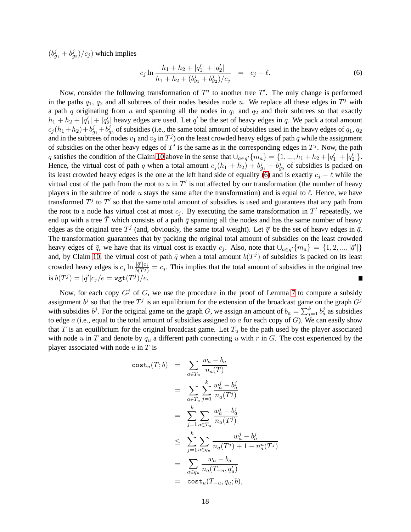$(b_{g_1}^j + b_{g_2}^j)/c_j)$  which implies

<span id="page-17-0"></span>
$$
c_j \ln \frac{h_1 + h_2 + |q'_1| + |q'_2|}{h_1 + h_2 + (b_{g_1}^j + b_{g_2}^j)/c_j} = c_j - \ell.
$$
 (6)

Now, consider the following transformation of  $T<sup>j</sup>$  to another tree  $T'$ . The only change is performed in the paths  $q_1$ ,  $q_2$  and all subtrees of their nodes besides node u. We replace all these edges in  $T<sup>j</sup>$  with a path q originating from  $u$  and spanning all the nodes in  $q_1$  and  $q_2$  and their subtrees so that exactly  $h_1 + h_2 + |q'_1| + |q'_2|$  heavy edges are used. Let  $q'$  be the set of heavy edges in q. We pack a total amount  $c_j(h_1+h_2)+b_{g_1}^j+b_{g_2}^j$  of subsidies (i.e., the same total amount of subsidies used in the heavy edges of  $q_1, q_2$ and in the subtrees of nodes  $v_1$  and  $v_2$  in  $T^j$ ) on the least crowded heavy edges of path q while the assignment of subsidies on the other heavy edges of  $T'$  is the same as in the corresponding edges in  $T^j$ . Now, the path q satisfies the condition of the Claim [10](#page-14-0) above in the sense that  $\bigcup_{a \in q'} \{m_a\} = \{1, ..., h_1 + h_2 + |q'_1| + |q'_2|\}.$ Hence, the virtual cost of path q when a total amount  $c_j(h_1 + h_2) + b^j_{g_1} + b^j_{g_2}$  of subsidies is packed on its least crowded heavy edges is the one at the left hand side of equality [\(6\)](#page-17-0) and is exactly  $c_j - \ell$  while the virtual cost of the path from the root to  $u$  in  $T'$  is not affected by our transformation (the number of heavy players in the subtree of node u stays the same after the transformation) and is equal to  $\ell$ . Hence, we have transformed  $T<sup>j</sup>$  to  $T'$  so that the same total amount of subsidies is used and guarantees that any path from the root to a node has virtual cost at most  $c_j$ . By executing the same transformation in  $T'$  repeatedly, we end up with a tree T which consists of a path  $\bar{q}$  spanning all the nodes and has the same number of heavy edges as the original tree  $T^j$  (and, obviously, the same total weight). Let  $\bar{q}'$  be the set of heavy edges in  $\bar{q}$ . The transformation guarantees that by packing the original total amount of subsidies on the least crowded heavy edges of  $\bar{q}$ , we have that its virtual cost is exactly  $c_j$ . Also, note that  $\cup_{a \in \bar{q}'} \{m_a\} = \{1, 2, ..., |\bar{q}'|\}$ and, by Claim [10,](#page-14-0) the virtual cost of path  $\bar{q}$  when a total amount  $b(T^j)$  of subsidies is packed on its least crowded heavy edges is  $c_j \ln \frac{|\vec{q}'| c_j}{b(T^j)} = c_j$ . This implies that the total amount of subsidies in the original tree is  $b(T^j) = |\bar{q}'|c_j/e = \texttt{wgt}(T^j)/e$ .

Now, for each copy  $G^j$  of G, we use the procedure in the proof of Lemma [7](#page-13-1) to compute a subsidy assignment  $b^j$  so that the tree  $T^j$  is an equilibrium for the extension of the broadcast game on the graph  $G^j$ with subsidies  $b^j$ . For the original game on the graph G, we assign an amount of  $b_a = \sum_{j=1}^k b_a^j$  as subsidies to edge  $a$  (i.e., equal to the total amount of subsidies assigned to  $a$  for each copy of  $G$ ). We can easily show that  $T$  is an equilibrium for the original broadcast game. Let  $T_u$  be the path used by the player associated with node u in T and denote by  $q_u$  a different path connecting u with r in G. The cost experienced by the player associated with node  $u$  in  $T$  is

$$
\begin{array}{rcl}\n\text{cost}_u(T;b) &=& \sum_{a \in T_u} \frac{w_a - b_a}{n_a(T)} \\
&=& \sum_{a \in T_u} \sum_{j=1}^k \frac{w_a^j - b_a^j}{n_a(T^j)} \\
&=& \sum_{j=1}^k \sum_{a \in T_u} \frac{w_a^j - b_a^j}{n_a(T^j)} \\
&& \leq \sum_{j=1}^k \sum_{a \in q_u} \frac{w_a^j - b_a^j}{n_a(T^j) + 1 - n_a^u(T^j)} \\
&=& \sum_{a \in q_u} \frac{w_a - b_a}{n_a(T_{-u}, q_u)} \\
&=& \text{cost}_u(T_{-u}, q_u; b),\n\end{array}
$$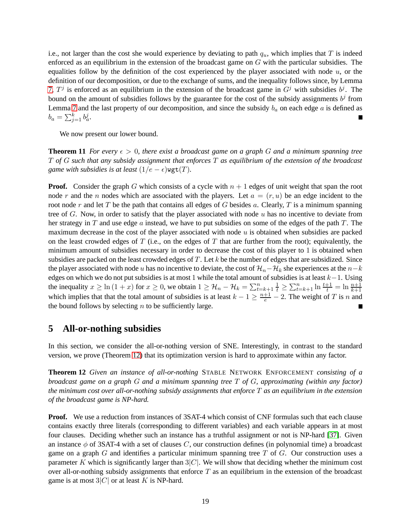i.e., not larger than the cost she would experience by deviating to path  $q_u$ , which implies that T is indeed enforced as an equilibrium in the extension of the broadcast game on  $G$  with the particular subsidies. The equalities follow by the definition of the cost experienced by the player associated with node  $u$ , or the definition of our decomposition, or due to the exchange of sums, and the inequality follows since, by Lemma [7,](#page-13-1)  $T^j$  is enforced as an equilibrium in the extension of the broadcast game in  $G^j$  with subsidies  $b^j$ . The bound on the amount of subsidies follows by the guarantee for the cost of the subsidy assignments  $b^j$  from Lemma [7](#page-13-1) and the last property of our decomposition, and since the subsidy  $b_a$  on each edge a is defined as  $b_a = \sum_{j=1}^{k} b_a^j$ .

<span id="page-18-2"></span>We now present our lower bound.

**Theorem 11** *For every*  $\epsilon > 0$ *, there exist a broadcast game on a graph* G *and a minimum spanning tree* T *of* G *such that any subsidy assignment that enforces* T *as equilibrium of the extension of the broadcast game with subsidies is at least*  $(1/e - \epsilon)$ wgt $(T)$ *.* 

**Proof.** Consider the graph G which consists of a cycle with  $n + 1$  edges of unit weight that span the root node r and the n nodes which are associated with the players. Let  $a = (r, u)$  be an edge incident to the root node r and let T be the path that contains all edges of G besides a. Clearly, T is a minimum spanning tree of  $G$ . Now, in order to satisfy that the player associated with node  $u$  has no incentive to deviate from her strategy in  $T$  and use edge  $\alpha$  instead, we have to put subsidies on some of the edges of the path  $T$ . The maximum decrease in the cost of the player associated with node  $u$  is obtained when subsidies are packed on the least crowded edges of  $T$  (i.e., on the edges of  $T$  that are further from the root); equivalently, the minimum amount of subsidies necessary in order to decrease the cost of this player to 1 is obtained when subsidies are packed on the least crowded edges of T. Let  $k$  be the number of edges that are subsidized. Since the player associated with node u has no incentive to deviate, the cost of  $\mathcal{H}_n-\mathcal{H}_k$  she experiences at the  $n-k$ edges on which we do not put subsidies is at most 1 while the total amount of subsidies is at least  $k-1$ . Using the inequality  $x \ge \ln(1+x)$  for  $x \ge 0$ , we obtain  $1 \ge \mathcal{H}_n - \mathcal{H}_k = \sum_{t=k+1}^n \frac{1}{t} \ge \sum_{t=k+1}^n \ln \frac{t+1}{t} = \ln \frac{n+1}{k+1}$ <br>which implies that that the total amount of subsidies is at least  $k-1 \ge \frac{n+1}{e} - 2$ . The weight the bound follows by selecting  $n$  to be sufficiently large.

### <span id="page-18-0"></span>**5 All-or-nothing subsidies**

<span id="page-18-1"></span>In this section, we consider the all-or-nothing version of SNE. Interestingly, in contrast to the standard version, we prove (Theorem [12\)](#page-18-1) that its optimization version is hard to approximate within any factor.

**Theorem 12** *Given an instance of all-or-nothing* STABLE NETWORK ENFORCEMENT *consisting of a broadcast game on a graph* G *and a minimum spanning tree* T *of* G*, approximating (within any factor) the minimum cost over all-or-nothing subsidy assignments that enforce* T *as an equilibrium in the extension of the broadcast game is NP-hard.*

**Proof.** We use a reduction from instances of 3SAT-4 which consist of CNF formulas such that each clause contains exactly three literals (corresponding to different variables) and each variable appears in at most four clauses. Deciding whether such an instance has a truthful assignment or not is NP-hard [\[37\]](#page-29-17). Given an instance  $\phi$  of 3SAT-4 with a set of clauses C, our construction defines (in polynomial time) a broadcast game on a graph  $G$  and identifies a particular minimum spanning tree  $T$  of  $G$ . Our construction uses a parameter K which is significantly larger than  $3|C|$ . We will show that deciding whether the minimum cost over all-or-nothing subsidy assignments that enforce  $T$  as an equilibrium in the extension of the broadcast game is at most  $3|C|$  or at least K is NP-hard.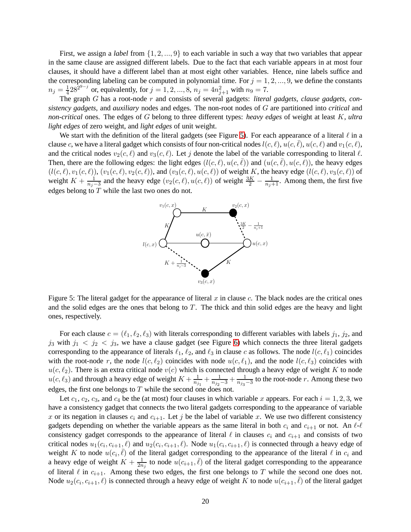First, we assign a *label* from {1, 2, ..., 9} to each variable in such a way that two variables that appear in the same clause are assigned different labels. Due to the fact that each variable appears in at most four clauses, it should have a different label than at most eight other variables. Hence, nine labels suffice and the corresponding labeling can be computed in polynomial time. For  $j = 1, 2, ..., 9$ , we define the constants  $n_j=\frac{1}{4}$  $\frac{1}{4}28^{2^{9-j}}$  or, equivalently, for  $j = 1, 2, ..., 8$ ,  $n_j = 4n_{j+1}^2$  with  $n_9 = 7$ .

The graph G has a root-node r and consists of several gadgets: *literal gadgets*, *clause gadgets*, *consistency gadgets*, and *auxiliary* nodes and edges. The non-root nodes of G are partitioned into *critical* and *non-critical* ones. The edges of G belong to three different types: *heavy edges* of weight at least K, *ultra light edges* of zero weight, and *light edges* of unit weight.

We start with the definition of the literal gadgets (see Figure [5\)](#page-19-0). For each appearance of a literal  $\ell$  in a clause c, we have a literal gadget which consists of four non-critical nodes  $l(c, \ell)$ ,  $u(c, \bar{\ell})$ ,  $u(c, \ell)$  and  $v_1(c, \ell)$ , and the critical nodes  $v_2(c, \ell)$  and  $v_3(c, \ell)$ . Let j denote the label of the variable corresponding to literal  $\ell$ . Then, there are the following edges: the light edges  $(l(c, \ell), u(c, \overline{\ell}))$  and  $(u(c, \overline{\ell}), u(c, \ell))$ , the heavy edges  $(l(c, \ell), v_1(c, \ell)), (v_1(c, \ell), v_2(c, \ell)),$  and  $(v_3(c, \ell), u(c, \ell))$  of weight K, the heavy edge  $(l(c, \ell), v_3(c, \ell))$  of weight  $K + \frac{1}{n+1}$  $\frac{1}{n_j-3}$  and the heavy edge  $(v_2(c, \ell), u(c, \ell))$  of weight  $\frac{3K}{2} - \frac{1}{n_j+1}$ . Among them, the first five edges belong to T while the last two ones do not.



<span id="page-19-0"></span>Figure 5: The literal gadget for the appearance of literal x in clause c. The black nodes are the critical ones and the solid edges are the ones that belong to  $T$ . The thick and thin solid edges are the heavy and light ones, respectively.

For each clause  $c = (\ell_1, \ell_2, \ell_3)$  with literals corresponding to different variables with labels  $j_1, j_2$ , and  $j_3$  with  $j_1 < j_2 < j_3$ , we have a clause gadget (see Figure [6\)](#page-20-0) which connects the three literal gadgets corresponding to the appearance of literals  $\ell_1$ ,  $\ell_2$ , and  $\ell_3$  in clause c as follows. The node  $l(c, \ell_1)$  coincides with the root-node r, the node  $l(c, \ell_2)$  coincides with node  $u(c, \ell_1)$ , and the node  $l(c, \ell_3)$  coincides with  $u(c, \ell_2)$ . There is an extra critical node  $v(c)$  which is connected through a heavy edge of weight K to node  $u(c, \ell_3)$  and through a heavy edge of weight  $K + \frac{1}{n_3}$  $\frac{1}{n_{j_1}} + \frac{1}{n_{j_2}-3} + \frac{1}{n_{j_3}}$  $\frac{1}{n_{j_3}-3}$  to the root-node r. Among these two edges, the first one belongs to  $T$  while the second one does not.

Let  $c_1$ ,  $c_2$ ,  $c_3$ , and  $c_4$  be the (at most) four clauses in which variable x appears. For each  $i = 1, 2, 3$ , we have a consistency gadget that connects the two literal gadgets corresponding to the appearance of variable x or its negation in clauses  $c_i$  and  $c_{i+1}$ . Let j be the label of variable x. We use two different consistency gadgets depending on whether the variable appears as the same literal in both  $c_i$  and  $c_{i+1}$  or not. An  $\ell$ - $\ell$ consistency gadget corresponds to the appearance of literal  $\ell$  in clauses  $c_i$  and  $c_{i+1}$  and consists of two critical nodes  $u_1(c_i, c_{i+1}, \ell)$  and  $u_2(c_i, c_{i+1}, \ell)$ . Node  $u_1(c_i, c_{i+1}, \ell)$  is connected through a heavy edge of weight K to node  $u(c_i, \overline{\ell})$  of the literal gadget corresponding to the appearance of the literal  $\ell$  in  $c_i$  and a heavy edge of weight  $K + \frac{1}{2n}$  $\frac{1}{2n_j}$  to node  $u(c_{i+1}, \overline{\ell})$  of the literal gadget corresponding to the appearance of literal  $\ell$  in  $c_{i+1}$ . Among these two edges, the first one belongs to T while the second one does not. Node  $u_2(c_i, c_{i+1}, \ell)$  is connected through a heavy edge of weight K to node  $u(c_{i+1}, \overline{\ell})$  of the literal gadget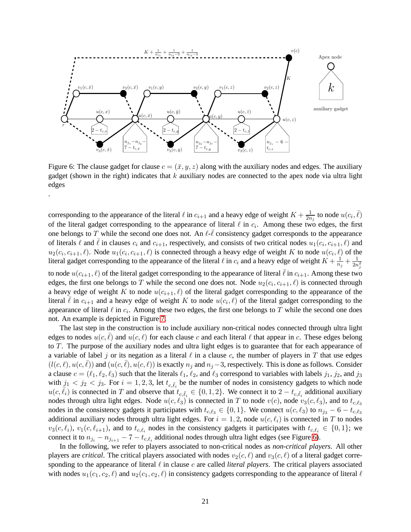

<span id="page-20-0"></span>Figure 6: The clause gadget for clause  $c = (\bar{x}, y, z)$  along with the auxiliary nodes and edges. The auxiliary gadget (shown in the right) indicates that k auxiliary nodes are connected to the apex node via ultra light edges

.

corresponding to the appearance of the literal  $\ell$  in  $c_{i+1}$  and a heavy edge of weight  $K + \frac{1}{2n}$  $\frac{1}{2n_j}$  to node  $u(c_i, \bar{\ell})$ of the literal gadget corresponding to the appearance of literal  $\ell$  in  $c_i$ . Among these two edges, the first one belongs to T while the second one does not. An  $\ell$ - $\bar{\ell}$  consistency gadget corresponds to the appearance of literals  $\ell$  and  $\bar{\ell}$  in clauses  $c_i$  and  $c_{i+1}$ , respectively, and consists of two critical nodes  $u_1(c_i, c_{i+1}, \ell)$  and  $u_2(c_i, c_{i+1}, \ell)$ . Node  $u_1(c_i, c_{i+1}, \ell)$  is connected through a heavy edge of weight K to node  $u(c_i, \ell)$  of the literal gadget corresponding to the appearance of the literal  $\ell$  in  $c_i$  and a heavy edge of weight  $K + \frac{1}{n}$  $\frac{1}{n_j}+\frac{1}{2n}$  $2n_j^2$ to node  $u(c_{i+1}, \ell)$  of the literal gadget corresponding to the appearance of literal  $\ell$  in  $c_{i+1}$ . Among these two edges, the first one belongs to T while the second one does not. Node  $u_2(c_i, c_{i+1}, \ell)$  is connected through a heavy edge of weight K to node  $u(c_{i+1}, \ell)$  of the literal gadget corresponding to the appearance of the literal  $\bar{\ell}$  in  $c_{i+1}$  and a heavy edge of weight K to node  $u(c_i, \ell)$  of the literal gadget corresponding to the appearance of literal  $\ell$  in  $c_i$ . Among these two edges, the first one belongs to T while the second one does not. An example is depicted in Figure [7.](#page-21-0)

The last step in the construction is to include auxiliary non-critical nodes connected through ultra light edges to nodes  $u(c, \ell)$  and  $u(c, \ell)$  for each clause c and each literal  $\ell$  that appear in c. These edges belong to T. The purpose of the auxiliary nodes and ultra light edges is to guarantee that for each appearance of a variable of label j or its negation as a literal  $\ell$  in a clause c, the number of players in T that use edges  $(l(c, \ell), u(c, \overline{\ell}))$  and  $(u(c, \overline{\ell}), u(c, \ell))$  is exactly  $n_j$  and  $n_j-3$ , respectively. This is done as follows. Consider a clause  $c = (\ell_1, \ell_2, \ell_3)$  such that the literals  $\ell_1, \ell_2$ , and  $\ell_3$  correspond to variables with labels  $j_1, j_2$ , and  $j_3$ with  $j_1 < j_2 < j_3$ . For  $i = 1, 2, 3$ , let  $t_{c, \bar{\ell}_i}$  be the number of nodes in consistency gadgets to which node  $u(c, \bar{l}_i)$  is connected in T and observe that  $t_{c, \bar{l}_i} \in \{0, 1, 2\}$ . We connect it to  $2 - t_{c, \bar{l}_i}$  additional auxiliary nodes through ultra light edges. Node  $u(c, \ell_3)$  is connected in T to node  $v(c)$ , node  $v_3(c, \ell_3)$ , and to  $t_{c, \ell_3}$ nodes in the consistency gadgets it participates with  $t_{c,\ell_3} \in \{0,1\}$ . We connect  $u(c,\ell_3)$  to  $n_{j_3} - 6 - t_{c,\ell_3}$ additional auxiliary nodes through ultra light edges. For  $i = 1, 2$ , node  $u(c, \ell_i)$  is connected in T to nodes  $v_3(c, \ell_i), v_1(c, \ell_{i+1}),$  and to  $t_{c, \ell_i}$  nodes in the consistency gadgets it participates with  $t_{c, \ell_i} \in \{0, 1\}$ ; we connect it to  $n_{j_i} - n_{j_{i+1}} - 7 - t_{c,\ell_i}$  additional nodes through ultra light edges (see Figure [6\)](#page-20-0).

In the following, we refer to players associated to non-critical nodes as *non-critical players*. All other players are *critical*. The critical players associated with nodes  $v_2(c, \ell)$  and  $v_3(c, \ell)$  of a literal gadget corresponding to the appearance of literal  $\ell$  in clause c are called *literal players*. The critical players associated with nodes  $u_1(c_1, c_2, \ell)$  and  $u_2(c_1, c_2, \ell)$  in consistency gadgets corresponding to the appearance of literal  $\ell$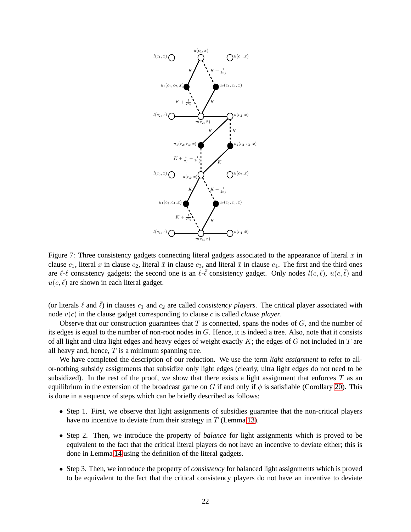

<span id="page-21-0"></span>Figure 7: Three consistency gadgets connecting literal gadgets associated to the appearance of literal  $x$  in clause  $c_1$ , literal x in clause  $c_2$ , literal  $\bar{x}$  in clause  $c_3$ , and literal  $\bar{x}$  in clause  $c_4$ . The first and the third ones are  $\ell$ - $\ell$  consistency gadgets; the second one is an  $\ell$ - $\bar{\ell}$  consistency gadget. Only nodes  $l(c, \ell)$ ,  $u(c, \bar{\ell})$  and  $u(c, \ell)$  are shown in each literal gadget.

(or literals  $\ell$  and  $\bar{\ell}$ ) in clauses  $c_1$  and  $c_2$  are called *consistency players*. The critical player associated with node  $v(c)$  in the clause gadget corresponding to clause *c* is called *clause player*.

Observe that our construction guarantees that  $T$  is connected, spans the nodes of  $G$ , and the number of its edges is equal to the number of non-root nodes in  $G$ . Hence, it is indeed a tree. Also, note that it consists of all light and ultra light edges and heavy edges of weight exactly  $K$ ; the edges of G not included in T are all heavy and, hence,  $T$  is a minimum spanning tree.

We have completed the description of our reduction. We use the term *light assignment* to refer to allor-nothing subsidy assignments that subsidize only light edges (clearly, ultra light edges do not need to be subsidized). In the rest of the proof, we show that there exists a light assignment that enforces  $T$  as an equilibrium in the extension of the broadcast game on G if and only if  $\phi$  is satisfiable (Corollary [20\)](#page-26-0). This is done in a sequence of steps which can be briefly described as follows:

- Step 1. First, we observe that light assignments of subsidies guarantee that the non-critical players have no incentive to deviate from their strategy in  $T$  (Lemma [13\)](#page-22-0).
- Step 2. Then, we introduce the property of *balance* for light assignments which is proved to be equivalent to the fact that the critical literal players do not have an incentive to deviate either; this is done in Lemma [14](#page-22-1) using the definition of the literal gadgets.
- Step 3. Then, we introduce the property of *consistency* for balanced light assignments which is proved to be equivalent to the fact that the critical consistency players do not have an incentive to deviate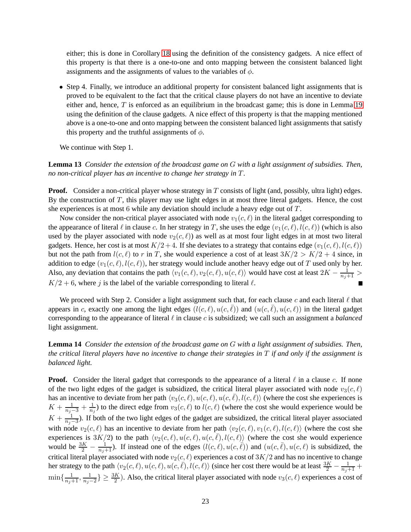either; this is done in Corollary [18](#page-25-0) using the definition of the consistency gadgets. A nice effect of this property is that there is a one-to-one and onto mapping between the consistent balanced light assignments and the assignments of values to the variables of  $\phi$ .

• Step 4. Finally, we introduce an additional property for consistent balanced light assignments that is proved to be equivalent to the fact that the critical clause players do not have an incentive to deviate either and, hence,  $T$  is enforced as an equilibrium in the broadcast game; this is done in Lemma [19](#page-26-1) using the definition of the clause gadgets. A nice effect of this property is that the mapping mentioned above is a one-to-one and onto mapping between the consistent balanced light assignments that satisfy this property and the truthful assignments of  $\phi$ .

<span id="page-22-0"></span>We continue with Step 1.

**Lemma 13** *Consider the extension of the broadcast game on* G *with a light assignment of subsidies. Then, no non-critical player has an incentive to change her strategy in* T*.*

**Proof.** Consider a non-critical player whose strategy in T consists of light (and, possibly, ultra light) edges. By the construction of  $T$ , this player may use light edges in at most three literal gadgets. Hence, the cost she experiences is at most 6 while any deviation should include a heavy edge out of  $T$ .

Now consider the non-critical player associated with node  $v_1(c, \ell)$  in the literal gadget corresponding to the appearance of literal  $\ell$  in clause c. In her strategy in T, she uses the edge  $(v_1(c, \ell), l(c, \ell))$  (which is also used by the player associated with node  $v_2(c, \ell)$  as well as at most four light edges in at most two literal gadgets. Hence, her cost is at most  $K/2+4$ . If she deviates to a strategy that contains edge  $(v_1(c, \ell), l(c, \ell))$ but not the path from  $l(c, \ell)$  to r in T, she would experience a cost of at least  $3K/2 > K/2 + 4$  since, in addition to edge  $(v_1(c, \ell), l(c, \ell))$ , her strategy would include another heavy edge out of T used only by her. Also, any deviation that contains the path  $\langle v_1(c, \ell), v_2(c, \ell), u(c, \ell) \rangle$  would have cost at least  $2K - \frac{1}{n_j+1}$  $K/2 + 6$ , where j is the label of the variable corresponding to literal  $\ell$ .

We proceed with Step 2. Consider a light assignment such that, for each clause c and each literal  $\ell$  that appears in c, exactly one among the light edges  $(l(c, \ell), u(c, \overline{\ell}))$  and  $(u(c, \overline{\ell}), u(c, \ell))$  in the literal gadget corresponding to the appearance of literal ℓ in clause c is subsidized; we call such an assignment a *balanced* light assignment.

<span id="page-22-1"></span>**Lemma 14** *Consider the extension of the broadcast game on* G *with a light assignment of subsidies. Then, the critical literal players have no incentive to change their strategies in* T *if and only if the assignment is balanced light.*

**Proof.** Consider the literal gadget that corresponds to the appearance of a literal  $\ell$  in a clause c. If none of the two light edges of the gadget is subsidized, the critical literal player associated with node  $v_3(c, \ell)$ has an incentive to deviate from her path  $\langle v_3(c, \ell), u(c, \ell), u(c, \ell), l(c, \ell) \rangle$  (where the cost she experiences is  $K + \frac{1}{n_j-3} + \frac{1}{n_j}$  $\frac{1}{n_j}$ ) to the direct edge from  $v_3(c, \ell)$  to  $l(c, \ell)$  (where the cost she would experience would be  $K + \frac{1}{n+1}$  $\frac{1}{n_j-3}$ ). If both of the two light edges of the gadget are subsidized, the critical literal player associated with node  $v_2(c, \ell)$  has an incentive to deviate from her path  $\langle v_2(c, \ell), v_1(c, \ell), l(c, \ell) \rangle$  (where the cost she experiences is  $3K/2$ ) to the path  $\langle v_2(c, \ell), u(c, \ell), u(c, \bar{\ell}), l(c, \ell) \rangle$  (where the cost she would experience would be  $\frac{3K}{2} - \frac{1}{n_j+1}$ ). If instead one of the edges  $(l(c, \ell), u(c, \overline{\ell}))$  and  $(u(c, \overline{\ell}), u(c, \ell))$  is subsidized, the critical literal player associated with node  $v_2(c, \ell)$  experiences a cost of  $3K/2$  and has no incentive to change her strategy to the path  $\langle v_2(c,\ell), u(c,\ell), u(c,\bar{\ell}), l(c,\ell) \rangle$  (since her cost there would be at least  $\frac{3K}{2} - \frac{1}{n_j+1}$  +  $\min\{\frac{1}{n_j+1}, \frac{1}{n_j-1}\}$  $\frac{1}{n_j-2}$ } ≥  $\frac{3K}{2}$ ). Also, the critical literal player associated with node  $v_3(c, \ell)$  experiences a cost of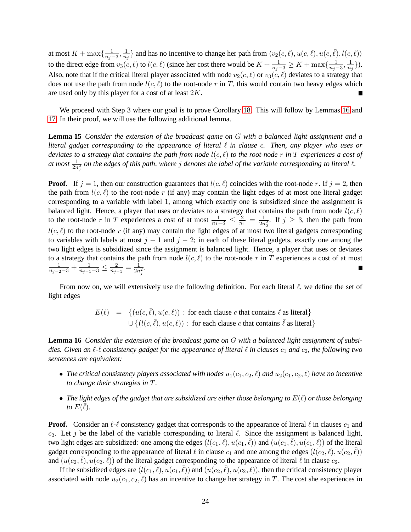at most  $K + \max\{\frac{1}{n-1}\}$  $\frac{1}{n_j-3},\frac{1}{n_j}$  $\frac{1}{n_j}$  and has no incentive to change her path from  $\langle v_2(c, \ell), u(c, \ell), u(c, \bar{\ell}), l(c, \ell) \rangle$ to the direct edge from  $v_3(c, \ell)$  to  $l(c, \ell)$  (since her cost there would be  $K + \frac{1}{n_j-3} \geq K + \max\{\frac{1}{n_j-3}\}$  $\frac{1}{n_j-3},\frac{1}{n_j}$  $\frac{1}{n_j}\}$ ). Also, note that if the critical literal player associated with node  $v_2(c, \ell)$  or  $v_3(c, \ell)$  deviates to a strategy that does not use the path from node  $l(c, \ell)$  to the root-node r in T, this would contain two heavy edges which are used only by this player for a cost of at least 2K.

<span id="page-23-1"></span>We proceed with Step 3 where our goal is to prove Corollary [18.](#page-25-0) This will follow by Lemmas [16](#page-23-0) and [17.](#page-24-0) In their proof, we will use the following additional lemma.

**Lemma 15** *Consider the extension of the broadcast game on* G *with a balanced light assignment and a literal gadget corresponding to the appearance of literal* ℓ *in clause* c*. Then, any player who uses or deviates to a strategy that contains the path from node*  $l(c, \ell)$  *to the root-node* r *in* T *experiences a cost of* at most  $\frac{1}{2n_j^2}$  on the edges of this path, where j denotes the label of the variable corresponding to literal  $\ell$ .

**Proof.** If  $j = 1$ , then our construction guarantees that  $l(c, \ell)$  coincides with the root-node r. If  $j = 2$ , then the path from  $l(c, \ell)$  to the root-node r (if any) may contain the light edges of at most one literal gadget corresponding to a variable with label 1, among which exactly one is subsidized since the assignment is balanced light. Hence, a player that uses or deviates to a strategy that contains the path from node  $l(c, \ell)$ to the root-node r in T experiences a cost of at most  $\frac{1}{n_1-3} \leq \frac{2}{n_1}$  $\frac{2}{n_1} = \frac{1}{2n}$  $\frac{1}{2n_2^2}$ . If  $j \geq 3$ , then the path from  $l(c, l)$  to the root-node r (if any) may contain the light edges of at most two literal gadgets corresponding to variables with labels at most  $j - 1$  and  $j - 2$ ; in each of these literal gadgets, exactly one among the two light edges is subsidized since the assignment is balanced light. Hence, a player that uses or deviates to a strategy that contains the path from node  $l(c, \ell)$  to the root-node r in T experiences a cost of at most  $\frac{1}{n_{j-2}-3}+\frac{1}{n_{j-1}-3}\leq \frac{2}{n_{j-1}}$  $\frac{2}{n_{j-1}}=\frac{1}{2n}$  $\frac{1}{2n_j^2}$ . Г

From now on, we will extensively use the following definition. For each literal  $\ell$ , we define the set of light edges

> $E(\ell) = \{(u(c, \overline{\ell}), u(c, \ell)) : \text{ for each clause } c \text{ that contains } \ell \text{ as literal}\}\$  $\cup \{ (l(c, \overline{l}), u(c, \ell)) : \text{ for each clause } c \text{ that contains } \overline{l} \text{ as literal} \}$

<span id="page-23-0"></span>**Lemma 16** *Consider the extension of the broadcast game on* G *with a balanced light assignment of subsidies. Given an* ℓ*-*ℓ *consistency gadget for the appearance of literal* ℓ *in clauses* c<sup>1</sup> *and* c2*, the following two sentences are equivalent:*

- The critical consistency players associated with nodes  $u_1(c_1, c_2, \ell)$  and  $u_2(c_1, c_2, \ell)$  have no incentive *to change their strategies in* T*.*
- The light edges of the gadget that are subsidized are either those belonging to  $E(\ell)$  or those belonging *to*  $E(\overline{\ell})$ *.*

**Proof.** Consider an  $\ell$ - $\ell$  consistency gadget that corresponds to the appearance of literal  $\ell$  in clauses  $c_1$  and c<sub>2</sub>. Let j be the label of the variable corresponding to literal  $\ell$ . Since the assignment is balanced light, two light edges are subsidized: one among the edges  $(l(c_1, \ell), u(c_1, \overline{\ell}))$  and  $(u(c_1, \overline{\ell}), u(c_1, \ell))$  of the literal gadget corresponding to the appearance of literal  $\ell$  in clause  $c_1$  and one among the edges  $(l(c_2, \ell), u(c_2, \overline{\ell}))$ and  $(u(c_2, \bar{\ell}), u(c_2, \ell))$  of the literal gadget corresponding to the appearance of literal  $\ell$  in clause  $c_2$ .

If the subsidized edges are  $(l(c_1,\ell), u(c_1,\bar{\ell}))$  and  $(u(c_2,\bar{\ell}), u(c_2,\ell))$ , then the critical consistency player associated with node  $u_2(c_1, c_2, \ell)$  has an incentive to change her strategy in T. The cost she experiences in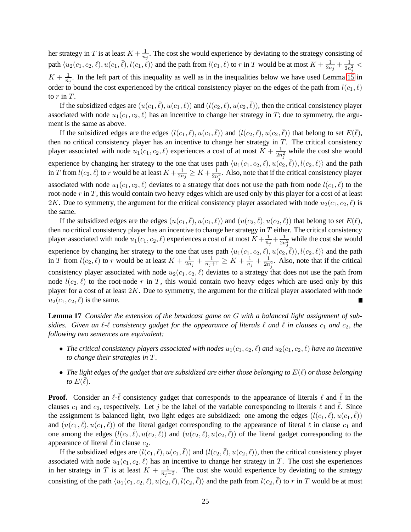her strategy in T is at least  $K + \frac{1}{n_j}$ . The cost she would experience by deviating to the strategy consisting of path  $\langle u_2(c_1, c_2, \ell), u(c_1, \overline{\ell}), l(c_1, \ell) \rangle$  and the path from  $l(c_1, \ell)$  to r in T would be at most  $K + \frac{1}{2n_j} + \frac{1}{2n_j^2}$  $K+\frac{1}{n}$  $\frac{1}{n_j}$ . In the left part of this inequality as well as in the inequalities below we have used Lemma [15](#page-23-1) in order to bound the cost experienced by the critical consistency player on the edges of the path from  $l(c_1, \ell)$ to  $r$  in  $T$ .

If the subsidized edges are  $(u(c_1, \bar{\ell}), u(c_1, \ell))$  and  $(l(c_2, \ell), u(c_2, \bar{\ell}))$ , then the critical consistency player associated with node  $u_1(c_1, c_2, \ell)$  has an incentive to change her strategy in T; due to symmetry, the argument is the same as above.

If the subsidized edges are the edges  $(l(c_1, \ell), u(c_1, \overline{\ell}))$  and  $(l(c_2, \ell), u(c_2, \overline{\ell}))$  that belong to set  $E(\overline{\ell}),$ then no critical consistency player has an incentive to change her strategy in  $T$ . The critical consistency player associated with node  $u_1(c_1, c_2, \ell)$  experiences a cost of at most  $K + \frac{1}{2n}$  $\frac{1}{2n_1^2}$  while the cost she would experience by changing her strategy to the one that uses path  $\langle u_1(c_1, c_2, \ell), u(c_2, \overline{\ell})\rangle$ ,  $l(c_2, \ell)\rangle$  and the path in T from  $l(c_2, \ell)$  to r would be at least  $K + \frac{1}{2n}$  $\frac{1}{2n_j} \geq K + \frac{1}{2n}$  $\frac{1}{2n_j^2}$ . Also, note that if the critical consistency player associated with node  $u_1(c_1, c_2, \ell)$  deviates to a strategy that does not use the path from node  $l(c_1, \ell)$  to the root-node  $r$  in  $T$ , this would contain two heavy edges which are used only by this player for a cost of at least 2K. Due to symmetry, the argument for the critical consistency player associated with node  $u_2(c_1, c_2, \ell)$  is the same.

If the subsidized edges are the edges  $(u(c_1, \overline{\ell}), u(c_1, \ell))$  and  $(u(c_2, \overline{\ell}), u(c_2, \ell))$  that belong to set  $E(\ell)$ , then no critical consistency player has an incentive to change her strategy in  $T$  either. The critical consistency player associated with node  $u_1(c_1, c_2, \ell)$  experiences a cost of at most  $K + \frac{1}{n}$  $\frac{1}{n_j} + \frac{1}{2n}$  $\frac{1}{2n_1^2}$  while the cost she would experience by changing her strategy to the one that uses path  $\langle u_1(c_1, c_2, \ell), u(c_2, \overline{\ell}), l(c_2, \ell) \rangle$  and the path in T from  $l(c_2, \ell)$  to r would be at least  $K + \frac{1}{2n}$  $\frac{1}{2n_j} + \frac{1}{n_j+1} \geq K + \frac{1}{n_j}$  $\frac{1}{n_j}+\frac{1}{2n}$  $\frac{1}{2n_j^2}$ . Also, note that if the critical consistency player associated with node  $u_2(c_1, c_2, \ell)$  deviates to a strategy that does not use the path from node  $l(c_2, \ell)$  to the root-node r in T, this would contain two heavy edges which are used only by this player for a cost of at least  $2K$ . Due to symmetry, the argument for the critical player associated with node  $u_2(c_1, c_2, \ell)$  is the same. П

<span id="page-24-0"></span>**Lemma 17** *Consider the extension of the broadcast game on* G *with a balanced light assignment of sub*sidies. Given an  $\ell$ - $\bar{\ell}$  consistency gadget for the appearance of literals  $\ell$  and  $\bar{\ell}$  in clauses  $c_1$  and  $c_2$ , the *following two sentences are equivalent:*

- *The critical consistency players associated with nodes*  $u_1(c_1, c_2, \ell)$  *and*  $u_2(c_1, c_2, \ell)$  *have no incentive to change their strategies in* T*.*
- The light edges of the gadget that are subsidized are either those belonging to  $E(\ell)$  or those belonging *to*  $E(\overline{\ell})$ *.*

**Proof.** Consider an  $\ell$ - $\bar{\ell}$  consistency gadget that corresponds to the appearance of literals  $\ell$  and  $\bar{\ell}$  in the clauses  $c_1$  and  $c_2$ , respectively. Let j be the label of the variable corresponding to literals  $\ell$  and  $\overline{\ell}$ . Since the assignment is balanced light, two light edges are subsidized: one among the edges  $(l(c_1, \ell), u(c_1, \overline{\ell}))$ and  $(u(c_1, \overline{\ell}), u(c_1, \ell))$  of the literal gadget corresponding to the appearance of literal  $\ell$  in clause  $c_1$  and one among the edges  $(l(c_2, \bar{\ell}), u(c_2, \ell))$  and  $(u(c_2, \ell), u(c_2, \bar{\ell}))$  of the literal gadget corresponding to the appearance of literal  $\bar{\ell}$  in clause  $c_2$ .

If the subsidized edges are  $(l(c_1, \ell), u(c_1, \overline{\ell}))$  and  $(l(c_2, \overline{\ell}), u(c_2, \ell))$ , then the critical consistency player associated with node  $u_1(c_1, c_2, \ell)$  has an incentive to change her strategy in T. The cost she experiences in her strategy in T is at least  $K + \frac{1}{n}$  $\frac{1}{n_j-3}$ . The cost she would experience by deviating to the strategy consisting of the path  $\langle u_1(c_1, c_2, \ell), u(c_2, \ell), l(c_2, \overline{\ell})\rangle$  and the path from  $l(c_2, \overline{\ell})$  to r in T would be at most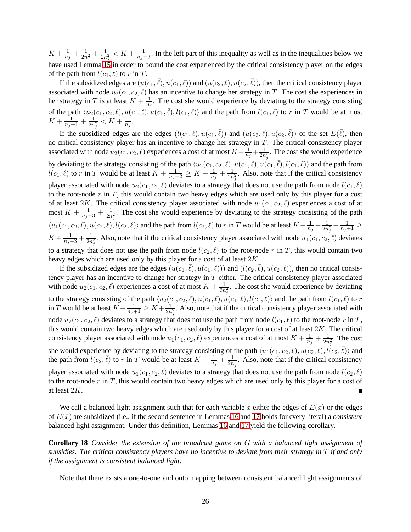$K + \frac{1}{n_j} + \frac{1}{2n_j^2} + \frac{1}{2n_j^2} < K + \frac{1}{n_j - 3}$ . In the left part of this inequality as well as in the inequalities below we have used Lemma [15](#page-23-1) in order to bound the cost experienced by the critical consistency player on the edges of the path from  $l(c_1, \ell)$  to r in T.

If the subsidized edges are  $(u(c_1, \bar{\ell}), u(c_1, \ell))$  and  $(u(c_2, \ell), u(c_2, \bar{\ell}))$ , then the critical consistency player associated with node  $u_2(c_1, c_2, \ell)$  has an incentive to change her strategy in T. The cost she experiences in her strategy in T is at least  $K + \frac{1}{n}$  $\frac{1}{n_j}$ . The cost she would experience by deviating to the strategy consisting of the path  $\langle u_2(c_1, c_2, \ell), u(c_1, \ell), u(c_1, \overline{\ell}), l(c_1, \ell) \rangle$  and the path from  $l(c_1, \ell)$  to r in T would be at most  $K + \frac{1}{n_j+1} + \frac{1}{2n}$  $\frac{1}{2n_j^2} < K + \frac{1}{n_j}$  $\frac{1}{n_j}.$ 

If the subsidized edges are the edges  $(l(c_1, \ell), u(c_1, \overline{\ell}))$  and  $(u(c_2, \ell), u(c_2, \overline{\ell}))$  of the set  $E(\overline{\ell})$ , then no critical consistency player has an incentive to change her strategy in T. The critical consistency player associated with node  $u_2(c_1, c_2, \ell)$  experiences a cost of at most  $K + \frac{1}{n}$  $\frac{1}{n_j} + \frac{1}{2n}$  $\frac{1}{2n_j^2}$ . The cost she would experience by deviating to the strategy consisting of the path  $\langle u_2(c_1, c_2, \ell), u(c_1, \ell), u(c_1, \overline{\ell}), l(c_1, \ell) \rangle$  and the path from  $l(c_1, \ell)$  to r in T would be at least  $K + \frac{1}{n_j - 2} \geq K + \frac{1}{n_j}$  $\frac{1}{n_j}+\frac{1}{2n}$  $\frac{1}{2n_j^2}$ . Also, note that if the critical consistency player associated with node  $u_2(c_1, c_2, \ell)$  deviates to a strategy that does not use the path from node  $l(c_1, \ell)$ to the root-node  $r$  in  $T$ , this would contain two heavy edges which are used only by this player for a cost of at least 2K. The critical consistency player associated with node  $u_1(c_1, c_2, \ell)$  experiences a cost of at most  $K + \frac{1}{n_j-3} + \frac{1}{2n_j^2}$ . The cost she would experience by deviating to the strategy consisting of the path j  $\langle u_1(c_1, c_2, \ell), u(c_2, \ell), l(c_2, \overline{\ell}) \rangle$  and the path from  $l(c_2, \overline{\ell})$  to r in T would be at least  $K + \frac{1}{n}$  $\frac{1}{n_j} + \frac{1}{2n}$  $\frac{1}{2n_j^2} + \frac{1}{n_j+1} \geq$  $K + \frac{1}{n_j-3} + \frac{1}{2n}$  $\frac{1}{2n_j^2}$ . Also, note that if the critical consistency player associated with node  $u_1(c_1, c_2, \ell)$  deviates to a strategy that does not use the path from node  $l(c_2, \overline{\ell})$  to the root-node r in T, this would contain two heavy edges which are used only by this player for a cost of at least 2K.

If the subsidized edges are the edges  $(u(c_1, \overline{\ell}), u(c_1, \ell))$  and  $(l(c_2, \overline{\ell}), u(c_2, \ell))$ , then no critical consistency player has an incentive to change her strategy in  $T$  either. The critical consistency player associated with node  $u_2(c_1, c_2, \ell)$  experiences a cost of at most  $K + \frac{1}{2n}$  $\frac{1}{2n_j^2}$ . The cost she would experience by deviating to the strategy consisting of the path  $\langle u_2(c_1, c_2, \ell), u(c_1, \ell), u(c_1, \bar{\ell}), l(c_1, \ell) \rangle$  and the path from  $l(c_1, \ell)$  to r in T would be at least  $K + \frac{1}{n_j+1} \geq K + \frac{1}{2n}$  $\frac{1}{2n_j^2}$ . Also, note that if the critical consistency player associated with node  $u_2(c_1, c_2, \ell)$  deviates to a strategy that does not use the path from node  $l(c_1, \ell)$  to the root-node r in T, this would contain two heavy edges which are used only by this player for a cost of at least  $2K$ . The critical consistency player associated with node  $u_1(c_1, c_2, \ell)$  experiences a cost of at most  $K + \frac{1}{n_j} + \frac{1}{2n_j^2}$ . The cost she would experience by deviating to the strategy consisting of the path  $\langle u_1(c_1, c_2, \ell), u(c_2, \ell), l(c_2, \overline{\ell})\rangle$  and the path from  $l(c_2, \bar{\ell})$  to r in T would be at least  $K + \frac{1}{n}$  $\frac{1}{n_j}+\frac{1}{2n}$  $\frac{1}{2n_j^2}$ . Also, note that if the critical consistency player associated with node  $u_1(c_1, c_2, \ell)$  deviates to a strategy that does not use the path from node  $l(c_2, \bar{\ell})$ to the root-node r in T, this would contain two heavy edges which are used only by this player for a cost of at least 2K.

We call a balanced light assignment such that for each variable x either the edges of  $E(x)$  or the edges of  $E(\bar{x})$  are subsidized (i.e., if the second sentence in Lemmas [16](#page-23-0) and [17](#page-24-0) holds for every literal) a *consistent* balanced light assignment. Under this definition, Lemmas [16](#page-23-0) and [17](#page-24-0) yield the following corollary.

<span id="page-25-0"></span>**Corollary 18** *Consider the extension of the broadcast game on* G *with a balanced light assignment of subsidies. The critical consistency players have no incentive to deviate from their strategy in* T *if and only if the assignment is consistent balanced light.*

Note that there exists a one-to-one and onto mapping between consistent balanced light assignments of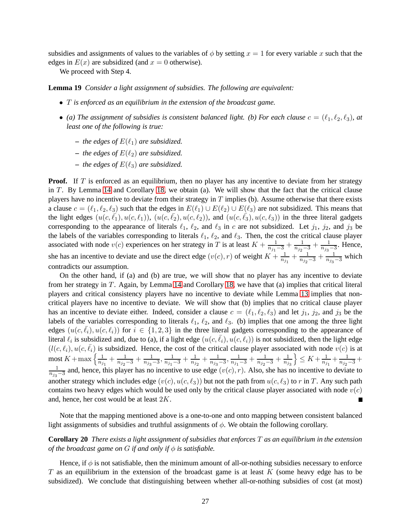subsidies and assignments of values to the variables of  $\phi$  by setting  $x = 1$  for every variable x such that the edges in  $E(x)$  are subsidized (and  $x = 0$  otherwise).

<span id="page-26-1"></span>We proceed with Step 4.

**Lemma 19** *Consider a light assignment of subsidies. The following are equivalent:*

- T *is enforced as an equilibrium in the extension of the broadcast game.*
- *(a) The assignment of subsidies is consistent balanced light. <i>(b) For each clause*  $c = (\ell_1, \ell_2, \ell_3)$ *, at least one of the following is true:*
	- $-$  *the edges of*  $E(\ell_1)$  *are subsidized.*
	- $-$  *the edges of*  $E(\ell_2)$  *are subsidized.*
	- $-$  *the edges of*  $E(\ell_3)$  *are subsidized.*

**Proof.** If  $T$  is enforced as an equilibrium, then no player has any incentive to deviate from her strategy in  $T$ . By Lemma [14](#page-22-1) and Corollary [18,](#page-25-0) we obtain (a). We will show that the fact that the critical clause players have no incentive to deviate from their strategy in  $T$  implies (b). Assume otherwise that there exists a clause  $c = (\ell_1, \ell_2, \ell_3)$  such that the edges in  $E(\ell_1) \cup E(\ell_2) \cup E(\ell_3)$  are not subsidized. This means that the light edges  $(u(c, \bar{\ell}_1), u(c, \ell_1)), (u(c, \bar{\ell}_2), u(c, \ell_2)),$  and  $(u(c, \bar{\ell}_3), u(c, \ell_3))$  in the three literal gadgets corresponding to the appearance of literals  $\ell_1$ ,  $\ell_2$ , and  $\ell_3$  in c are not subsidized. Let  $j_1$ ,  $j_2$ , and  $j_3$  be the labels of the variables corresponding to literals  $\ell_1$ ,  $\ell_2$ , and  $\ell_3$ . Then, the cost the critical clause player associated with node  $v(c)$  experiences on her strategy in T is at least  $K + \frac{1}{n_{j_1}-3} + \frac{1}{n_{j_2}-3} + \frac{1}{n_{j_3}}$  $\frac{1}{n_{j_3}-3}$ . Hence, she has an incentive to deviate and use the direct edge  $(v(c), r)$  of weight  $K + \frac{1}{n_{j_1}} + \frac{1}{n_{j_2}-3} + \frac{1}{n_{j_3}-3}$  which contradicts our assumption.

On the other hand, if (a) and (b) are true, we will show that no player has any incentive to deviate from her strategy in T. Again, by Lemma [14](#page-22-1) and Corollary [18,](#page-25-0) we have that (a) implies that critical literal players and critical consistency players have no incentive to deviate while Lemma [13](#page-22-0) implies that noncritical players have no incentive to deviate. We will show that (b) implies that no critical clause player has an incentive to deviate either. Indeed, consider a clause  $c = (\ell_1, \ell_2, \ell_3)$  and let  $j_1, j_2$ , and  $j_3$  be the labels of the variables corresponding to literals  $\ell_1$ ,  $\ell_2$ , and  $\ell_3$ . (b) implies that one among the three light edges  $(u(c, \bar{\ell}_i), u(c, \ell_i))$  for  $i \in \{1, 2, 3\}$  in the three literal gadgets corresponding to the appearance of literal  $\ell_i$  is subsidized and, due to (a), if a light edge  $(u(c, \bar{\ell}_i), u(c, \ell_i))$  is not subsidized, then the light edge  $(l(c, \ell_i), u(c, \bar{\ell}_i))$  is subsidized. Hence, the cost of the critical clause player associated with node  $v(c)$  is at most  $K + \max\left\{\frac{1}{n}\right\}$  $\leq K + \frac{1}{n}$  $\int \frac{1}{n_1 + n_2}$   $\left\{ \frac{1}{n_1} + \frac{1}{n_2 - 3} + \frac{1}{n_3 - 3}, \frac{1}{n_1 - 3} + \frac{1}{n_2} + \frac{1}{n_3 - 3}, \frac{1}{n_1 - 3} + \frac{1}{n_2 - 3} + \frac{1}{n_3} \right\} \leq K + \frac{1}{n_1} + \frac{1}{n_2 - 3} + \frac{1}{n_3 - 3}$  $\frac{1}{n_{j_1}} + \frac{1}{n_{j_2}-3} + \frac{1}{n_{j_3}}$  $\frac{1}{n_{j_3}-3}, \frac{1}{n_{j_1}-3}+\frac{1}{n_j}$  $\frac{1}{n_{j_2}} + \frac{1}{n_{j_3}}$  $\frac{1}{n_{j_3}-3}, \frac{1}{n_{j_1}-3}+\frac{1}{n_{j_2}-3}+\frac{1}{n_j}$  $\overline{n_{j_3}}$  $\frac{1}{n_{j_3}-3}$  and, hence, this player has no incentive to use edge  $(v(c), r)$ . Also, she has no incentive to deviate to another strategy which includes edge  $(v(c), u(c, \ell_3))$  but not the path from  $u(c, \ell_3)$  to r in T. Any such path contains two heavy edges which would be used only by the critical clause player associated with node  $v(c)$ and, hence, her cost would be at least 2K.  $\blacksquare$ 

<span id="page-26-0"></span>Note that the mapping mentioned above is a one-to-one and onto mapping between consistent balanced light assignments of subsidies and truthful assignments of  $\phi$ . We obtain the following corollary.

**Corollary 20** *There exists a light assignment of subsidies that enforces* T *as an equilibrium in the extension of the broadcast game on* G *if and only if*  $\phi$  *is satisfiable.* 

Hence, if  $\phi$  is not satisfiable, then the minimum amount of all-or-nothing subsidies necessary to enforce  $T$  as an equilibrium in the extension of the broadcast game is at least  $K$  (some heavy edge has to be subsidized). We conclude that distinguishing between whether all-or-nothing subsidies of cost (at most)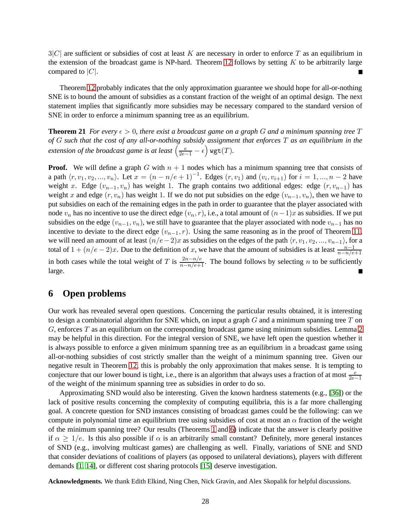$3|C|$  are sufficient or subsidies of cost at least K are necessary in order to enforce T as an equilibrium in the extension of the broadcast game is NP-hard. Theorem [12](#page-18-1) follows by setting  $K$  to be arbitrarily large compared to  $|C|$ .

Theorem [12](#page-18-1) probably indicates that the only approximation guarantee we should hope for all-or-nothing SNE is to bound the amount of subsidies as a constant fraction of the weight of an optimal design. The next statement implies that significantly more subsidies may be necessary compared to the standard version of SNE in order to enforce a minimum spanning tree as an equilibrium.

**Theorem 21** *For every*  $\epsilon > 0$ *, there exist a broadcast game on a graph* G *and a minimum spanning tree* T *of* G *such that the cost of any all-or-nothing subsidy assignment that enforces* T *as an equilibrium in the extension of the broadcast game is at least*  $\left(\frac{e}{2e-1} - \epsilon\right)$  wgt $(T)$ .

**Proof.** We will define a graph G with  $n + 1$  nodes which has a minimum spanning tree that consists of a path  $\langle r, v_1, v_2, ..., v_n \rangle$ . Let  $x = (n - n/e + 1)^{-1}$ . Edges  $(r, v_1)$  and  $(v_i, v_{i+1})$  for  $i = 1, ..., n - 2$  have weight x. Edge  $(v_{n-1}, v_n)$  has weight 1. The graph contains two additional edges: edge  $(r, v_{n-1})$  has weight x and edge  $(r, v_n)$  has weight 1. If we do not put subsidies on the edge  $(v_{n-1}, v_n)$ , then we have to put subsidies on each of the remaining edges in the path in order to guarantee that the player associated with node  $v_n$  has no incentive to use the direct edge  $(v_n, r)$ , i.e., a total amount of  $(n-1)x$  as subsidies. If we put subsidies on the edge  $(v_{n-1}, v_n)$ , we still have to guarantee that the player associated with node  $v_{n-1}$  has no incentive to deviate to the direct edge  $(v_{n-1}, r)$ . Using the same reasoning as in the proof of Theorem [11,](#page-18-2) we will need an amount of at least  $(n/e-2)x$  as subsidies on the edges of the path  $\langle r, v_1, v_2, ..., v_{n-1} \rangle$ , for a total of  $1 + (n/e - 2)x$ . Due to the definition of x, we have that the amount of subsidies is at least  $\frac{n-1}{n-n/e+1}$ in both cases while the total weight of T is  $\frac{2n-n/e}{n-n/e+1}$ . The bound follows by selecting n to be sufficiently large.

### <span id="page-27-0"></span>**6 Open problems**

Our work has revealed several open questions. Concerning the particular results obtained, it is interesting to design a combinatorial algorithm for SNE which, on input a graph  $G$  and a minimum spanning tree  $T$  on  $G$ , enforces  $T$  as an equilibrium on the corresponding broadcast game using minimum subsidies. Lemma [2](#page-6-2) may be helpful in this direction. For the integral version of SNE, we have left open the question whether it is always possible to enforce a given minimum spanning tree as an equilibrium in a broadcast game using all-or-nothing subsidies of cost strictly smaller than the weight of a minimum spanning tree. Given our negative result in Theorem [12,](#page-18-1) this is probably the only approximation that makes sense. It is tempting to conjecture that our lower bound is tight, i.e., there is an algorithm that always uses a fraction of at most  $\frac{e}{2e-1}$ of the weight of the minimum spanning tree as subsidies in order to do so.

Approximating SND would also be interesting. Given the known hardness statements (e.g., [\[36\]](#page-29-5)) or the lack of positive results concerning the complexity of computing equilibria, this is a far more challenging goal. A concrete question for SND instances consisting of broadcast games could be the following: can we compute in polynomial time an equilibrium tree using subsidies of cost at most an  $\alpha$  fraction of the weight of the minimum spanning tree? Our results (Theorems [1](#page-5-2) and [6\)](#page-13-2) indicate that the answer is clearly positive if  $\alpha \geq 1/e$ . Is this also possible if  $\alpha$  is an arbitrarily small constant? Definitely, more general instances of SND (e.g., involving multicast games) are challenging as well. Finally, variations of SNE and SND that consider deviations of coalitions of players (as opposed to unilateral deviations), players with different demands [\[1,](#page-28-16) [14\]](#page-28-17), or different cost sharing protocols [\[15\]](#page-28-18) deserve investigation.

**Acknowledgments.** We thank Edith Elkind, Ning Chen, Nick Gravin, and Alex Skopalik for helpful discussions.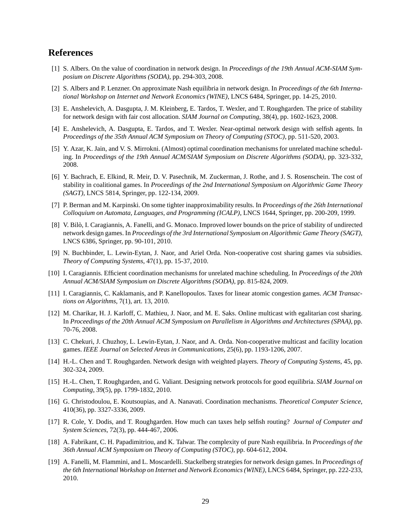## <span id="page-28-16"></span>**References**

- <span id="page-28-6"></span>[1] S. Albers. On the value of coordination in network design. In *Proceedings of the 19th Annual ACM-SIAM Symposium on Discrete Algorithms (SODA)*, pp. 294-303, 2008.
- <span id="page-28-0"></span>[2] S. Albers and P. Lenzner. On approximate Nash equilibria in network design. In *Proceedings of the 6th International Workshop on Internet and Network Economics (WINE)*, LNCS 6484, Springer, pp. 14-25, 2010.
- [3] E. Anshelevich, A. Dasgupta, J. M. Kleinberg, E. Tardos, T. Wexler, and T. Roughgarden. The price of stability for network design with fair cost allocation. *SIAM Journal on Computing*, 38(4), pp. 1602-1623, 2008.
- <span id="page-28-1"></span>[4] E. Anshelevich, A. Dasgupta, E. Tardos, and T. Wexler. Near-optimal network design with selfish agents. In *Proceedings of the 35th Annual ACM Symposium on Theory of Computing (STOC)*, pp. 511-520, 2003.
- <span id="page-28-11"></span>[5] Y. Azar, K. Jain, and V. S. Mirrokni. (Almost) optimal coordination mechanisms for unrelated machine scheduling. In *Proceedings of the 19th Annual ACM/SIAM Symposium on Discrete Algorithms (SODA)*, pp. 323-332, 2008.
- <span id="page-28-7"></span>[6] Y. Bachrach, E. Elkind, R. Meir, D. V. Pasechnik, M. Zuckerman, J. Rothe, and J. S. Rosenschein. The cost of stability in coalitional games. In *Proceedings of the 2nd International Symposium on Algorithmic Game Theory (SAGT)*, LNCS 5814, Springer, pp. 122-134, 2009.
- <span id="page-28-15"></span>[7] P. Berman and M. Karpinski. On some tighter inapproximability results. In *Proceedings of the 26th International Colloquium on Automata, Languages, and Programming (ICALP)*, LNCS 1644, Springer, pp. 200-209, 1999.
- <span id="page-28-2"></span>[8] V. Bilò, I. Caragiannis, A. Fanelli, and G. Monaco. Improved lower bounds on the price of stability of undirected network design games. In *Proceedings of the 3rd International Symposium on Algorithmic Game Theory (SAGT)*, LNCS 6386, Springer, pp. 90-101, 2010.
- <span id="page-28-14"></span>[9] N. Buchbinder, L. Lewin-Eytan, J. Naor, and Ariel Orda. Non-cooperative cost sharing games via subsidies. *Theory of Computing Systems*, 47(1), pp. 15-37, 2010.
- <span id="page-28-12"></span>[10] I. Caragiannis. Efficient coordination mechanisms for unrelated machine scheduling. In *Proceedings of the 20th Annual ACM/SIAM Symposium on Discrete Algorithms (SODA)*, pp. 815-824, 2009.
- <span id="page-28-9"></span><span id="page-28-4"></span>[11] I. Caragiannis, C. Kaklamanis, and P. Kanellopoulos. Taxes for linear atomic congestion games. *ACM Transactions on Algorithms*, 7(1), art. 13, 2010.
- [12] M. Charikar, H. J. Karloff, C. Mathieu, J. Naor, and M. E. Saks. Online multicast with egalitarian cost sharing. In *Proceedings of the 20th Annual ACM Symposium on Parallelism in Algorithms and Architectures (SPAA)*, pp. 70-76, 2008.
- <span id="page-28-3"></span>[13] C. Chekuri, J. Chuzhoy, L. Lewin-Eytan, J. Naor, and A. Orda. Non-cooperative multicast and facility location games. *IEEE Journal on Selected Areas in Communications*, 25(6), pp. 1193-1206, 2007.
- <span id="page-28-17"></span>[14] H.-L. Chen and T. Roughgarden. Network design with weighted players. *Theory of Computing Systems*, 45, pp. 302-324, 2009.
- <span id="page-28-18"></span>[15] H.-L. Chen, T. Roughgarden, and G. Valiant. Designing network protocols for good equilibria. *SIAM Journal on Computing*, 39(5), pp. 1799-1832, 2010.
- <span id="page-28-13"></span>[16] G. Christodoulou, E. Koutsoupias, and A. Nanavati. Coordination mechanisms. *Theoretical Computer Science*, 410(36), pp. 3327-3336, 2009.
- <span id="page-28-8"></span>[17] R. Cole, Y. Dodis, and T. Roughgarden. How much can taxes help selfish routing? *Journal of Computer and System Sciences*, 72(3), pp. 444-467, 2006.
- <span id="page-28-5"></span>[18] A. Fabrikant, C. H. Papadimitriou, and K. Talwar. The complexity of pure Nash equilibria. In *Proceedings of the 36th Annual ACM Symposium on Theory of Computing (STOC)*, pp. 604-612, 2004.
- <span id="page-28-10"></span>[19] A. Fanelli, M. Flammini, and L. Moscardelli. Stackelberg strategies for network design games. In *Proceedings of the 6th International Workshop on Internet and Network Economics (WINE)*, LNCS 6484, Springer, pp. 222-233, 2010.